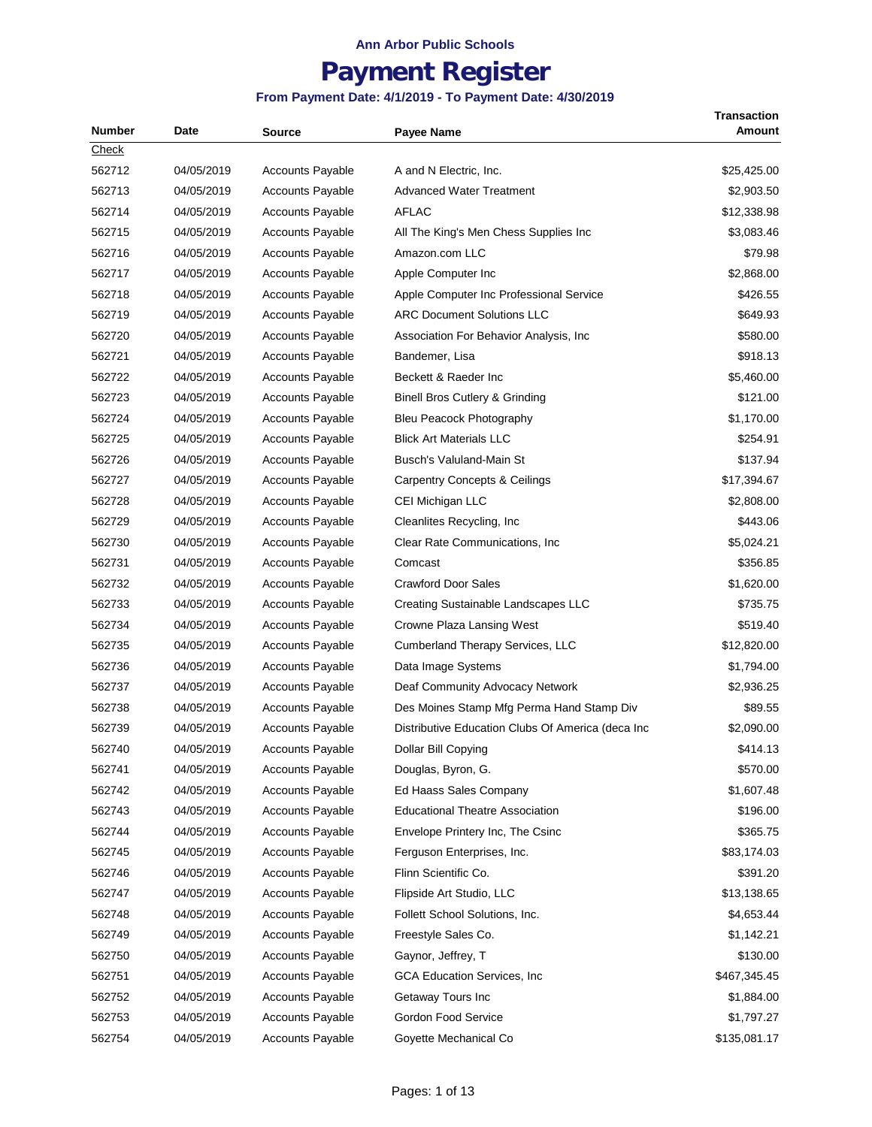# **Payment Register**

| Number | Date       | <b>Source</b>           | <b>Payee Name</b>                                 | Transaction<br>Amount |
|--------|------------|-------------------------|---------------------------------------------------|-----------------------|
| Check  |            |                         |                                                   |                       |
| 562712 | 04/05/2019 | <b>Accounts Payable</b> | A and N Electric, Inc.                            | \$25,425.00           |
| 562713 | 04/05/2019 | <b>Accounts Payable</b> | <b>Advanced Water Treatment</b>                   | \$2,903.50            |
| 562714 | 04/05/2019 | <b>Accounts Payable</b> | <b>AFLAC</b>                                      | \$12,338.98           |
| 562715 | 04/05/2019 | <b>Accounts Payable</b> | All The King's Men Chess Supplies Inc             | \$3,083.46            |
| 562716 | 04/05/2019 | <b>Accounts Payable</b> | Amazon.com LLC                                    | \$79.98               |
| 562717 | 04/05/2019 | <b>Accounts Payable</b> | Apple Computer Inc                                | \$2,868.00            |
| 562718 | 04/05/2019 | <b>Accounts Payable</b> | Apple Computer Inc Professional Service           | \$426.55              |
| 562719 | 04/05/2019 | <b>Accounts Payable</b> | <b>ARC Document Solutions LLC</b>                 | \$649.93              |
| 562720 | 04/05/2019 | <b>Accounts Payable</b> | Association For Behavior Analysis, Inc.           | \$580.00              |
| 562721 | 04/05/2019 | <b>Accounts Payable</b> | Bandemer, Lisa                                    | \$918.13              |
| 562722 | 04/05/2019 | <b>Accounts Payable</b> | Beckett & Raeder Inc                              | \$5,460.00            |
| 562723 | 04/05/2019 | <b>Accounts Payable</b> | Binell Bros Cutlery & Grinding                    | \$121.00              |
| 562724 | 04/05/2019 | <b>Accounts Payable</b> | Bleu Peacock Photography                          | \$1,170.00            |
| 562725 | 04/05/2019 | <b>Accounts Payable</b> | <b>Blick Art Materials LLC</b>                    | \$254.91              |
| 562726 | 04/05/2019 | <b>Accounts Payable</b> | Busch's Valuland-Main St                          | \$137.94              |
| 562727 | 04/05/2019 | <b>Accounts Payable</b> | <b>Carpentry Concepts &amp; Ceilings</b>          | \$17,394.67           |
| 562728 | 04/05/2019 | <b>Accounts Payable</b> | CEI Michigan LLC                                  | \$2,808.00            |
| 562729 | 04/05/2019 | <b>Accounts Payable</b> | Cleanlites Recycling, Inc.                        | \$443.06              |
| 562730 | 04/05/2019 | <b>Accounts Payable</b> | Clear Rate Communications, Inc.                   | \$5,024.21            |
| 562731 | 04/05/2019 | <b>Accounts Payable</b> | Comcast                                           | \$356.85              |
| 562732 | 04/05/2019 | <b>Accounts Payable</b> | <b>Crawford Door Sales</b>                        | \$1,620.00            |
| 562733 | 04/05/2019 | <b>Accounts Payable</b> | Creating Sustainable Landscapes LLC               | \$735.75              |
| 562734 | 04/05/2019 | <b>Accounts Payable</b> | Crowne Plaza Lansing West                         | \$519.40              |
| 562735 | 04/05/2019 | <b>Accounts Payable</b> | Cumberland Therapy Services, LLC                  | \$12,820.00           |
| 562736 | 04/05/2019 | <b>Accounts Payable</b> | Data Image Systems                                | \$1,794.00            |
| 562737 | 04/05/2019 | <b>Accounts Payable</b> | Deaf Community Advocacy Network                   | \$2,936.25            |
| 562738 | 04/05/2019 | <b>Accounts Payable</b> | Des Moines Stamp Mfg Perma Hand Stamp Div         | \$89.55               |
| 562739 | 04/05/2019 | <b>Accounts Payable</b> | Distributive Education Clubs Of America (deca Inc | \$2,090.00            |
| 562740 | 04/05/2019 | Accounts Payable        | Dollar Bill Copying                               | \$414.13              |
| 562741 | 04/05/2019 | <b>Accounts Payable</b> | Douglas, Byron, G.                                | \$570.00              |
| 562742 | 04/05/2019 | <b>Accounts Payable</b> | Ed Haass Sales Company                            | \$1,607.48            |
| 562743 | 04/05/2019 | Accounts Payable        | <b>Educational Theatre Association</b>            | \$196.00              |
| 562744 | 04/05/2019 | <b>Accounts Payable</b> | Envelope Printery Inc, The Csinc                  | \$365.75              |
| 562745 | 04/05/2019 | <b>Accounts Payable</b> | Ferguson Enterprises, Inc.                        | \$83,174.03           |
| 562746 | 04/05/2019 | <b>Accounts Payable</b> | Flinn Scientific Co.                              | \$391.20              |
| 562747 | 04/05/2019 | Accounts Payable        | Flipside Art Studio, LLC                          | \$13,138.65           |
| 562748 | 04/05/2019 | <b>Accounts Payable</b> | Follett School Solutions, Inc.                    | \$4,653.44            |
| 562749 | 04/05/2019 | <b>Accounts Payable</b> | Freestyle Sales Co.                               | \$1,142.21            |
| 562750 | 04/05/2019 | <b>Accounts Payable</b> | Gaynor, Jeffrey, T                                | \$130.00              |
| 562751 | 04/05/2019 | <b>Accounts Payable</b> | <b>GCA Education Services, Inc</b>                | \$467,345.45          |
| 562752 | 04/05/2019 | <b>Accounts Payable</b> | Getaway Tours Inc                                 | \$1,884.00            |
| 562753 | 04/05/2019 | <b>Accounts Payable</b> | Gordon Food Service                               | \$1,797.27            |
| 562754 | 04/05/2019 | <b>Accounts Payable</b> | Goyette Mechanical Co                             | \$135,081.17          |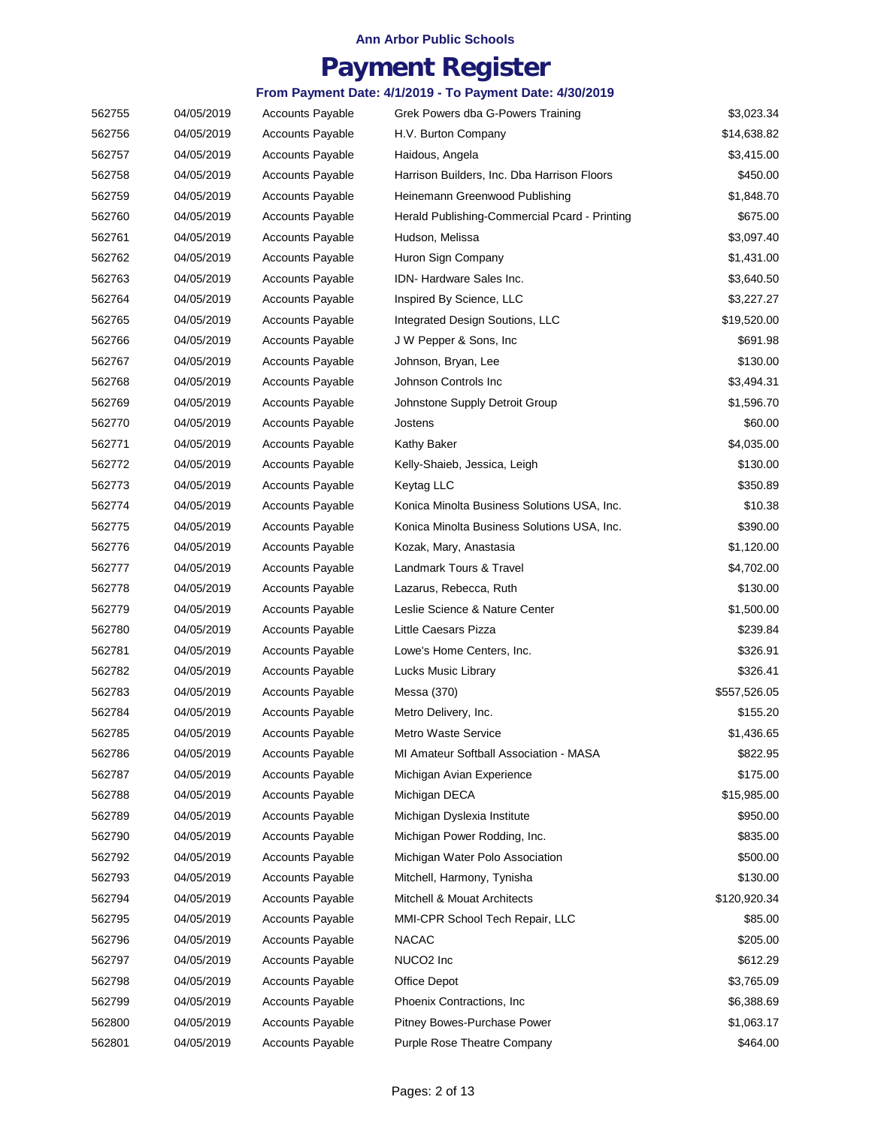### **Payment Register**

| 562755 | 04/05/2019 | <b>Accounts Payable</b> | Grek Powers dba G-Powers Training             | \$3,023.34   |
|--------|------------|-------------------------|-----------------------------------------------|--------------|
| 562756 | 04/05/2019 | <b>Accounts Payable</b> | H.V. Burton Company                           | \$14,638.82  |
| 562757 | 04/05/2019 | <b>Accounts Payable</b> | Haidous, Angela                               | \$3,415.00   |
| 562758 | 04/05/2019 | <b>Accounts Payable</b> | Harrison Builders, Inc. Dba Harrison Floors   | \$450.00     |
| 562759 | 04/05/2019 | <b>Accounts Payable</b> | Heinemann Greenwood Publishing                | \$1,848.70   |
| 562760 | 04/05/2019 | Accounts Payable        | Herald Publishing-Commercial Pcard - Printing | \$675.00     |
| 562761 | 04/05/2019 | <b>Accounts Payable</b> | Hudson, Melissa                               | \$3,097.40   |
| 562762 | 04/05/2019 | <b>Accounts Payable</b> | Huron Sign Company                            | \$1,431.00   |
| 562763 | 04/05/2019 | <b>Accounts Payable</b> | IDN-Hardware Sales Inc.                       | \$3,640.50   |
| 562764 | 04/05/2019 | <b>Accounts Payable</b> | Inspired By Science, LLC                      | \$3,227.27   |
| 562765 | 04/05/2019 | <b>Accounts Payable</b> | Integrated Design Soutions, LLC               | \$19,520.00  |
| 562766 | 04/05/2019 | <b>Accounts Payable</b> | J W Pepper & Sons, Inc.                       | \$691.98     |
| 562767 | 04/05/2019 | <b>Accounts Payable</b> | Johnson, Bryan, Lee                           | \$130.00     |
| 562768 | 04/05/2019 | <b>Accounts Payable</b> | Johnson Controls Inc                          | \$3,494.31   |
| 562769 | 04/05/2019 | <b>Accounts Payable</b> | Johnstone Supply Detroit Group                | \$1,596.70   |
| 562770 | 04/05/2019 | <b>Accounts Payable</b> | Jostens                                       | \$60.00      |
| 562771 | 04/05/2019 | <b>Accounts Payable</b> | Kathy Baker                                   | \$4,035.00   |
| 562772 | 04/05/2019 | <b>Accounts Payable</b> | Kelly-Shaieb, Jessica, Leigh                  | \$130.00     |
| 562773 | 04/05/2019 | <b>Accounts Payable</b> | Keytag LLC                                    | \$350.89     |
| 562774 | 04/05/2019 | <b>Accounts Payable</b> | Konica Minolta Business Solutions USA, Inc.   | \$10.38      |
| 562775 | 04/05/2019 | <b>Accounts Payable</b> | Konica Minolta Business Solutions USA, Inc.   | \$390.00     |
| 562776 | 04/05/2019 | <b>Accounts Payable</b> | Kozak, Mary, Anastasia                        | \$1,120.00   |
| 562777 | 04/05/2019 | <b>Accounts Payable</b> | Landmark Tours & Travel                       | \$4,702.00   |
| 562778 | 04/05/2019 | <b>Accounts Payable</b> | Lazarus, Rebecca, Ruth                        | \$130.00     |
| 562779 | 04/05/2019 | <b>Accounts Payable</b> | Leslie Science & Nature Center                | \$1,500.00   |
| 562780 | 04/05/2019 | <b>Accounts Payable</b> | Little Caesars Pizza                          | \$239.84     |
| 562781 | 04/05/2019 | <b>Accounts Payable</b> | Lowe's Home Centers, Inc.                     | \$326.91     |
| 562782 | 04/05/2019 | <b>Accounts Payable</b> | Lucks Music Library                           | \$326.41     |
| 562783 | 04/05/2019 | <b>Accounts Payable</b> | Messa (370)                                   | \$557,526.05 |
| 562784 | 04/05/2019 | <b>Accounts Payable</b> | Metro Delivery, Inc.                          | \$155.20     |
| 562785 | 04/05/2019 | <b>Accounts Payable</b> | <b>Metro Waste Service</b>                    | \$1,436.65   |
| 562786 | 04/05/2019 | <b>Accounts Payable</b> | MI Amateur Softball Association - MASA        | \$822.95     |
| 562787 | 04/05/2019 | <b>Accounts Payable</b> | Michigan Avian Experience                     | \$175.00     |
| 562788 | 04/05/2019 | <b>Accounts Payable</b> | Michigan DECA                                 | \$15,985.00  |
| 562789 | 04/05/2019 | <b>Accounts Payable</b> | Michigan Dyslexia Institute                   | \$950.00     |
| 562790 | 04/05/2019 | <b>Accounts Payable</b> | Michigan Power Rodding, Inc.                  | \$835.00     |
| 562792 | 04/05/2019 | <b>Accounts Payable</b> | Michigan Water Polo Association               | \$500.00     |
| 562793 | 04/05/2019 | <b>Accounts Payable</b> | Mitchell, Harmony, Tynisha                    | \$130.00     |
| 562794 | 04/05/2019 | <b>Accounts Payable</b> | Mitchell & Mouat Architects                   | \$120,920.34 |
| 562795 | 04/05/2019 | <b>Accounts Payable</b> | MMI-CPR School Tech Repair, LLC               | \$85.00      |
| 562796 | 04/05/2019 | <b>Accounts Payable</b> | <b>NACAC</b>                                  | \$205.00     |
| 562797 | 04/05/2019 | <b>Accounts Payable</b> | NUCO <sub>2</sub> Inc                         | \$612.29     |
| 562798 | 04/05/2019 | <b>Accounts Payable</b> | Office Depot                                  | \$3,765.09   |
| 562799 | 04/05/2019 | <b>Accounts Payable</b> | Phoenix Contractions, Inc.                    | \$6,388.69   |
| 562800 | 04/05/2019 | <b>Accounts Payable</b> | Pitney Bowes-Purchase Power                   | \$1,063.17   |
| 562801 | 04/05/2019 | Accounts Payable        | Purple Rose Theatre Company                   | \$464.00     |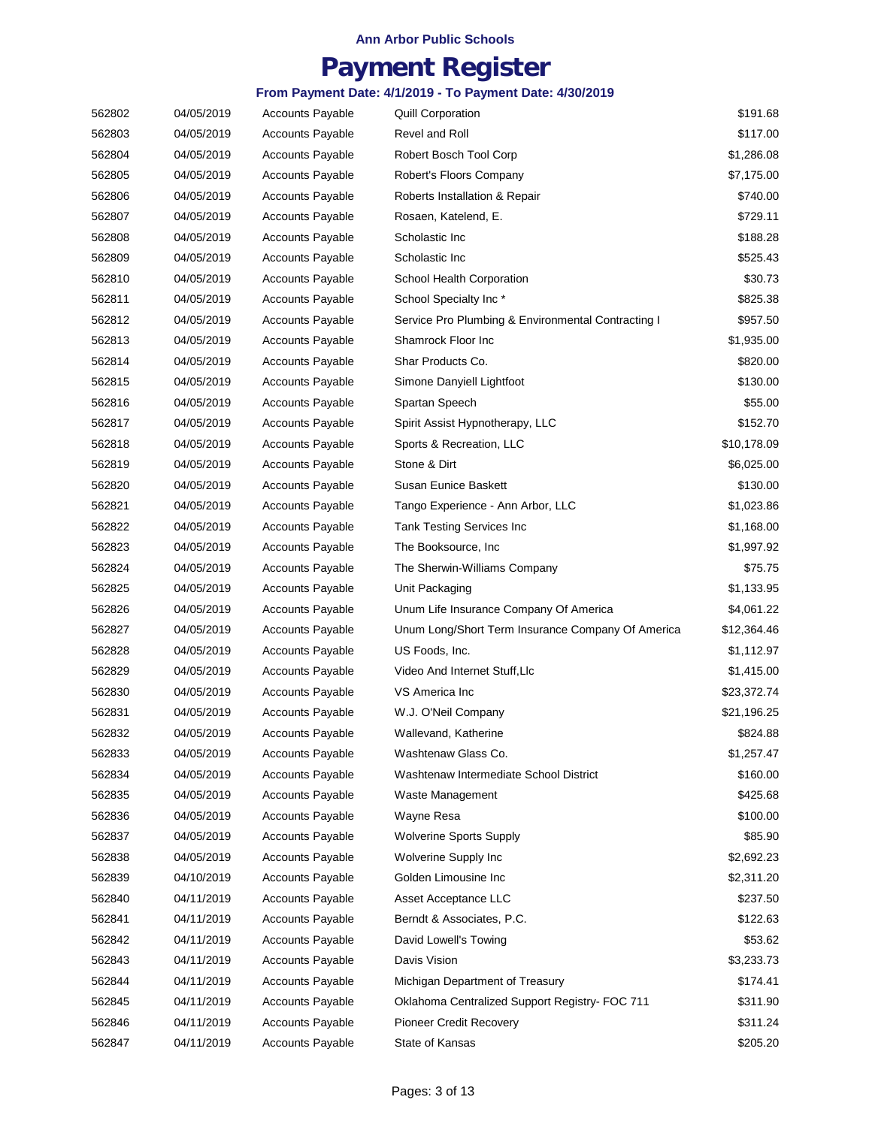## **Payment Register**

| 562802 | 04/05/2019 | <b>Accounts Payable</b> | <b>Quill Corporation</b>                           | \$191.68    |
|--------|------------|-------------------------|----------------------------------------------------|-------------|
| 562803 | 04/05/2019 | <b>Accounts Payable</b> | Revel and Roll                                     | \$117.00    |
| 562804 | 04/05/2019 | <b>Accounts Payable</b> | Robert Bosch Tool Corp                             | \$1,286.08  |
| 562805 | 04/05/2019 | <b>Accounts Payable</b> | Robert's Floors Company                            | \$7,175.00  |
| 562806 | 04/05/2019 | <b>Accounts Payable</b> | Roberts Installation & Repair                      | \$740.00    |
| 562807 | 04/05/2019 | <b>Accounts Payable</b> | Rosaen, Katelend, E.                               | \$729.11    |
| 562808 | 04/05/2019 | <b>Accounts Payable</b> | Scholastic Inc                                     | \$188.28    |
| 562809 | 04/05/2019 | <b>Accounts Payable</b> | Scholastic Inc                                     | \$525.43    |
| 562810 | 04/05/2019 | <b>Accounts Payable</b> | School Health Corporation                          | \$30.73     |
| 562811 | 04/05/2019 | <b>Accounts Payable</b> | School Specialty Inc*                              | \$825.38    |
| 562812 | 04/05/2019 | <b>Accounts Payable</b> | Service Pro Plumbing & Environmental Contracting I | \$957.50    |
| 562813 | 04/05/2019 | <b>Accounts Payable</b> | Shamrock Floor Inc                                 | \$1,935.00  |
| 562814 | 04/05/2019 | <b>Accounts Payable</b> | Shar Products Co.                                  | \$820.00    |
| 562815 | 04/05/2019 | <b>Accounts Payable</b> | Simone Danyiell Lightfoot                          | \$130.00    |
| 562816 | 04/05/2019 | <b>Accounts Payable</b> | Spartan Speech                                     | \$55.00     |
| 562817 | 04/05/2019 | <b>Accounts Payable</b> | Spirit Assist Hypnotherapy, LLC                    | \$152.70    |
| 562818 | 04/05/2019 | <b>Accounts Payable</b> | Sports & Recreation, LLC                           | \$10,178.09 |
| 562819 | 04/05/2019 | <b>Accounts Payable</b> | Stone & Dirt                                       | \$6,025.00  |
| 562820 | 04/05/2019 | <b>Accounts Payable</b> | Susan Eunice Baskett                               | \$130.00    |
| 562821 | 04/05/2019 | <b>Accounts Payable</b> | Tango Experience - Ann Arbor, LLC                  | \$1,023.86  |
| 562822 | 04/05/2019 | <b>Accounts Payable</b> | <b>Tank Testing Services Inc</b>                   | \$1,168.00  |
| 562823 | 04/05/2019 | <b>Accounts Payable</b> | The Booksource, Inc.                               | \$1,997.92  |
| 562824 | 04/05/2019 | <b>Accounts Payable</b> | The Sherwin-Williams Company                       | \$75.75     |
| 562825 | 04/05/2019 | <b>Accounts Payable</b> | Unit Packaging                                     | \$1,133.95  |
| 562826 | 04/05/2019 | <b>Accounts Payable</b> | Unum Life Insurance Company Of America             | \$4,061.22  |
| 562827 | 04/05/2019 | <b>Accounts Payable</b> | Unum Long/Short Term Insurance Company Of America  | \$12,364.46 |
| 562828 | 04/05/2019 | <b>Accounts Payable</b> | US Foods, Inc.                                     | \$1,112.97  |
| 562829 | 04/05/2019 | <b>Accounts Payable</b> | Video And Internet Stuff, Llc                      | \$1,415.00  |
| 562830 | 04/05/2019 | <b>Accounts Payable</b> | VS America Inc                                     | \$23,372.74 |
| 562831 | 04/05/2019 | <b>Accounts Payable</b> | W.J. O'Neil Company                                | \$21,196.25 |
| 562832 | 04/05/2019 | <b>Accounts Payable</b> | Wallevand, Katherine                               | \$824.88    |
| 562833 | 04/05/2019 | <b>Accounts Payable</b> | Washtenaw Glass Co.                                | \$1,257.47  |
| 562834 | 04/05/2019 | <b>Accounts Payable</b> | Washtenaw Intermediate School District             | \$160.00    |
| 562835 | 04/05/2019 | <b>Accounts Payable</b> | Waste Management                                   | \$425.68    |
| 562836 | 04/05/2019 | <b>Accounts Payable</b> | Wayne Resa                                         | \$100.00    |
| 562837 | 04/05/2019 | <b>Accounts Payable</b> | <b>Wolverine Sports Supply</b>                     | \$85.90     |
| 562838 | 04/05/2019 | <b>Accounts Payable</b> | Wolverine Supply Inc                               | \$2,692.23  |
| 562839 | 04/10/2019 | <b>Accounts Payable</b> | Golden Limousine Inc                               | \$2,311.20  |
| 562840 | 04/11/2019 | <b>Accounts Payable</b> | Asset Acceptance LLC                               | \$237.50    |
| 562841 | 04/11/2019 | <b>Accounts Payable</b> | Berndt & Associates, P.C.                          | \$122.63    |
| 562842 | 04/11/2019 | <b>Accounts Payable</b> | David Lowell's Towing                              | \$53.62     |
| 562843 | 04/11/2019 | <b>Accounts Payable</b> | Davis Vision                                       | \$3,233.73  |
| 562844 | 04/11/2019 | <b>Accounts Payable</b> | Michigan Department of Treasury                    | \$174.41    |
| 562845 | 04/11/2019 | <b>Accounts Payable</b> | Oklahoma Centralized Support Registry- FOC 711     | \$311.90    |
| 562846 | 04/11/2019 | <b>Accounts Payable</b> | <b>Pioneer Credit Recovery</b>                     | \$311.24    |
| 562847 | 04/11/2019 | <b>Accounts Payable</b> | State of Kansas                                    | \$205.20    |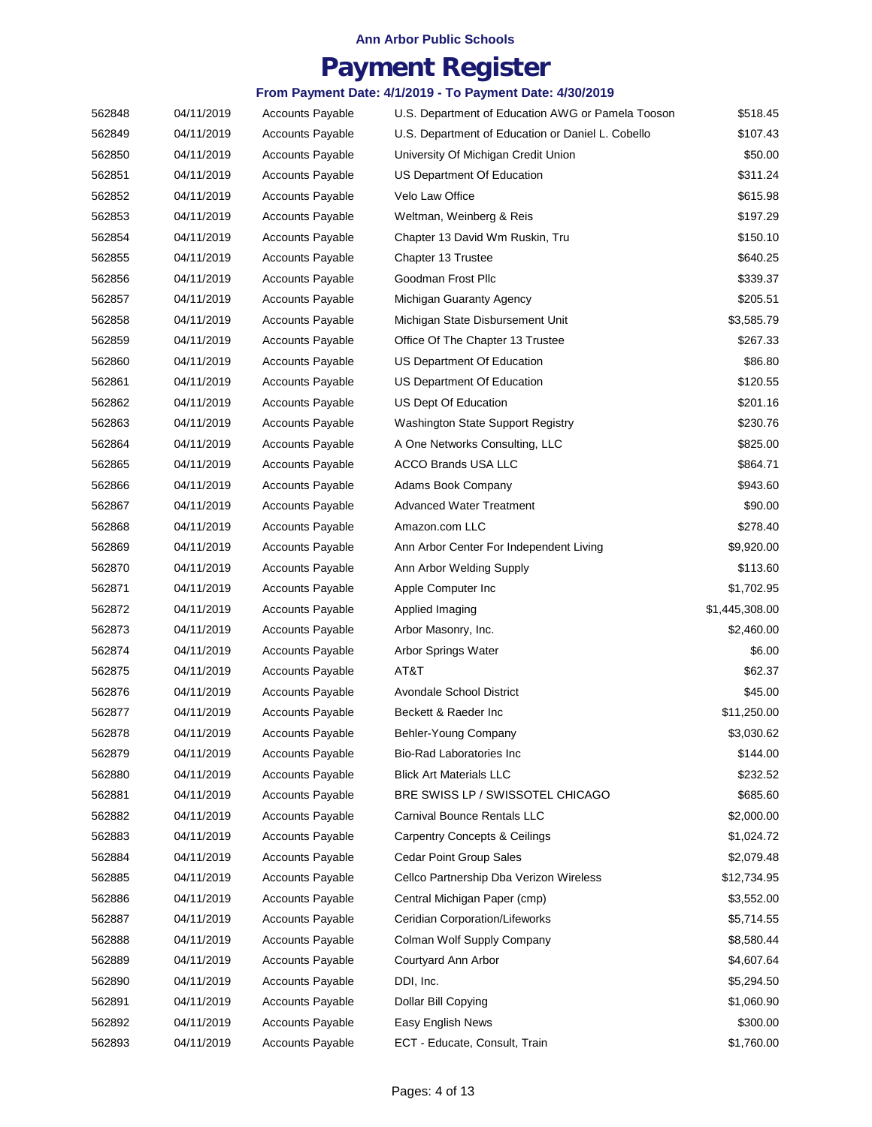## **Payment Register**

| 562848 | 04/11/2019 | <b>Accounts Payable</b> | U.S. Department of Education AWG or Pamela Tooson | \$518.45       |
|--------|------------|-------------------------|---------------------------------------------------|----------------|
| 562849 | 04/11/2019 | <b>Accounts Payable</b> | U.S. Department of Education or Daniel L. Cobello | \$107.43       |
| 562850 | 04/11/2019 | <b>Accounts Payable</b> | University Of Michigan Credit Union               | \$50.00        |
| 562851 | 04/11/2019 | <b>Accounts Payable</b> | US Department Of Education                        | \$311.24       |
| 562852 | 04/11/2019 | <b>Accounts Payable</b> | Velo Law Office                                   | \$615.98       |
| 562853 | 04/11/2019 | <b>Accounts Payable</b> | Weltman, Weinberg & Reis                          | \$197.29       |
| 562854 | 04/11/2019 | <b>Accounts Payable</b> | Chapter 13 David Wm Ruskin, Tru                   | \$150.10       |
| 562855 | 04/11/2019 | <b>Accounts Payable</b> | Chapter 13 Trustee                                | \$640.25       |
| 562856 | 04/11/2019 | <b>Accounts Payable</b> | Goodman Frost Pllc                                | \$339.37       |
| 562857 | 04/11/2019 | <b>Accounts Payable</b> | Michigan Guaranty Agency                          | \$205.51       |
| 562858 | 04/11/2019 | <b>Accounts Payable</b> | Michigan State Disbursement Unit                  | \$3,585.79     |
| 562859 | 04/11/2019 | <b>Accounts Payable</b> | Office Of The Chapter 13 Trustee                  | \$267.33       |
| 562860 | 04/11/2019 | <b>Accounts Payable</b> | US Department Of Education                        | \$86.80        |
| 562861 | 04/11/2019 | <b>Accounts Payable</b> | US Department Of Education                        | \$120.55       |
| 562862 | 04/11/2019 | <b>Accounts Payable</b> | US Dept Of Education                              | \$201.16       |
| 562863 | 04/11/2019 | <b>Accounts Payable</b> | <b>Washington State Support Registry</b>          | \$230.76       |
| 562864 | 04/11/2019 | <b>Accounts Payable</b> | A One Networks Consulting, LLC                    | \$825.00       |
| 562865 | 04/11/2019 | <b>Accounts Payable</b> | <b>ACCO Brands USA LLC</b>                        | \$864.71       |
| 562866 | 04/11/2019 | <b>Accounts Payable</b> | Adams Book Company                                | \$943.60       |
| 562867 | 04/11/2019 | <b>Accounts Payable</b> | <b>Advanced Water Treatment</b>                   | \$90.00        |
| 562868 | 04/11/2019 | <b>Accounts Payable</b> | Amazon.com LLC                                    | \$278.40       |
| 562869 | 04/11/2019 | <b>Accounts Payable</b> | Ann Arbor Center For Independent Living           | \$9,920.00     |
| 562870 | 04/11/2019 | <b>Accounts Payable</b> | Ann Arbor Welding Supply                          | \$113.60       |
| 562871 | 04/11/2019 | <b>Accounts Payable</b> | Apple Computer Inc                                | \$1,702.95     |
| 562872 | 04/11/2019 | <b>Accounts Payable</b> | Applied Imaging                                   | \$1,445,308.00 |
| 562873 | 04/11/2019 | <b>Accounts Payable</b> | Arbor Masonry, Inc.                               | \$2,460.00     |
| 562874 | 04/11/2019 | <b>Accounts Payable</b> | Arbor Springs Water                               | \$6.00         |
| 562875 | 04/11/2019 | <b>Accounts Payable</b> | AT&T                                              | \$62.37        |
| 562876 | 04/11/2019 | <b>Accounts Payable</b> | <b>Avondale School District</b>                   | \$45.00        |
| 562877 | 04/11/2019 | <b>Accounts Payable</b> | Beckett & Raeder Inc                              | \$11,250.00    |
| 562878 | 04/11/2019 | <b>Accounts Payable</b> | Behler-Young Company                              | \$3,030.62     |
| 562879 | 04/11/2019 | <b>Accounts Payable</b> | Bio-Rad Laboratories Inc                          | \$144.00       |
| 562880 | 04/11/2019 | <b>Accounts Payable</b> | <b>Blick Art Materials LLC</b>                    | \$232.52       |
| 562881 | 04/11/2019 | <b>Accounts Payable</b> | BRE SWISS LP / SWISSOTEL CHICAGO                  | \$685.60       |
| 562882 | 04/11/2019 | <b>Accounts Payable</b> | Carnival Bounce Rentals LLC                       | \$2,000.00     |
| 562883 | 04/11/2019 | <b>Accounts Payable</b> | <b>Carpentry Concepts &amp; Ceilings</b>          | \$1,024.72     |
| 562884 | 04/11/2019 | <b>Accounts Payable</b> | Cedar Point Group Sales                           | \$2,079.48     |
| 562885 | 04/11/2019 | <b>Accounts Payable</b> | Cellco Partnership Dba Verizon Wireless           | \$12,734.95    |
| 562886 | 04/11/2019 | <b>Accounts Payable</b> | Central Michigan Paper (cmp)                      | \$3,552.00     |
| 562887 | 04/11/2019 | <b>Accounts Payable</b> | Ceridian Corporation/Lifeworks                    | \$5,714.55     |
| 562888 | 04/11/2019 | <b>Accounts Payable</b> | Colman Wolf Supply Company                        | \$8,580.44     |
| 562889 | 04/11/2019 | <b>Accounts Payable</b> | Courtyard Ann Arbor                               | \$4,607.64     |
| 562890 | 04/11/2019 | <b>Accounts Payable</b> | DDI, Inc.                                         | \$5,294.50     |
| 562891 | 04/11/2019 | <b>Accounts Payable</b> | Dollar Bill Copying                               | \$1,060.90     |
| 562892 | 04/11/2019 | <b>Accounts Payable</b> | Easy English News                                 | \$300.00       |
| 562893 | 04/11/2019 | Accounts Payable        | ECT - Educate, Consult, Train                     | \$1,760.00     |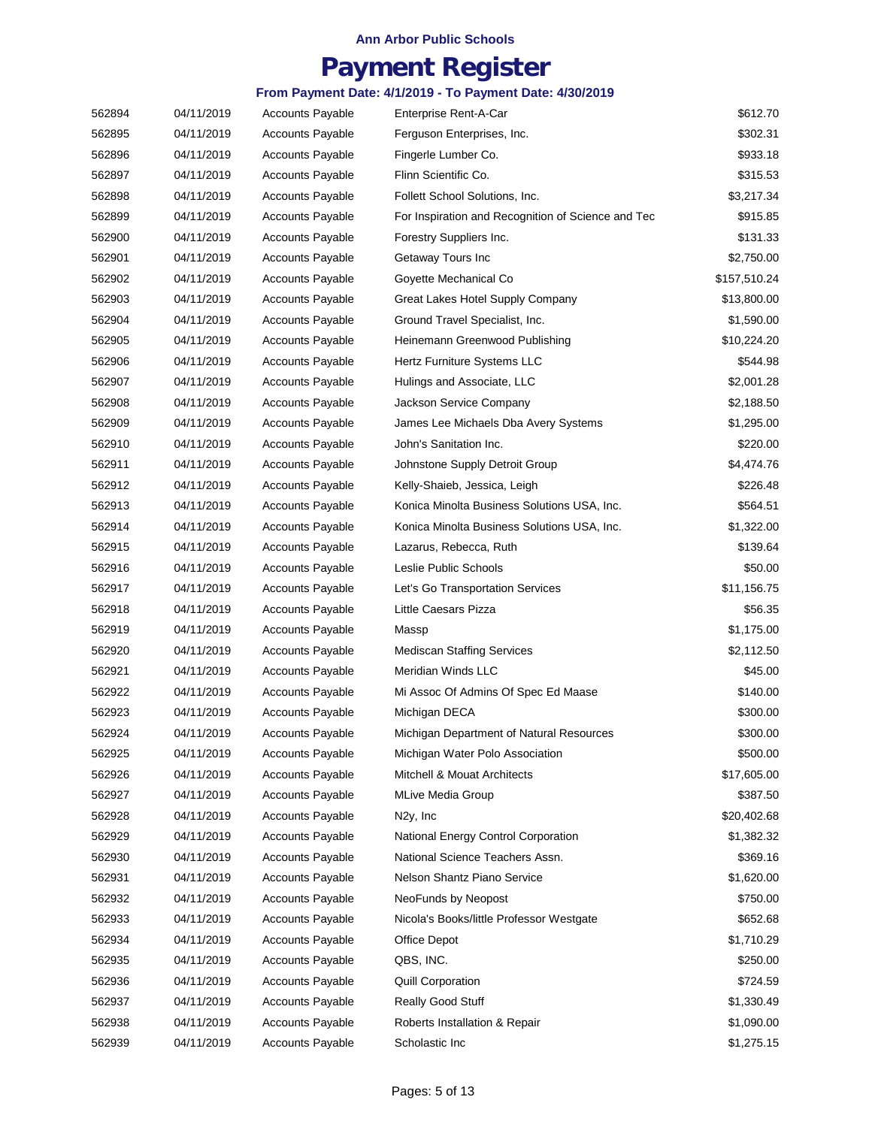## **Payment Register**

| 562894 | 04/11/2019 | <b>Accounts Payable</b> | Enterprise Rent-A-Car                              | \$612.70     |
|--------|------------|-------------------------|----------------------------------------------------|--------------|
| 562895 | 04/11/2019 | <b>Accounts Payable</b> | Ferguson Enterprises, Inc.                         | \$302.31     |
| 562896 | 04/11/2019 | <b>Accounts Payable</b> | Fingerle Lumber Co.                                | \$933.18     |
| 562897 | 04/11/2019 | <b>Accounts Payable</b> | Flinn Scientific Co.                               | \$315.53     |
| 562898 | 04/11/2019 | <b>Accounts Payable</b> | Follett School Solutions, Inc.                     | \$3,217.34   |
| 562899 | 04/11/2019 | <b>Accounts Payable</b> | For Inspiration and Recognition of Science and Tec | \$915.85     |
| 562900 | 04/11/2019 | <b>Accounts Payable</b> | Forestry Suppliers Inc.                            | \$131.33     |
| 562901 | 04/11/2019 | <b>Accounts Payable</b> | Getaway Tours Inc                                  | \$2,750.00   |
| 562902 | 04/11/2019 | <b>Accounts Payable</b> | Goyette Mechanical Co                              | \$157,510.24 |
| 562903 | 04/11/2019 | <b>Accounts Payable</b> | Great Lakes Hotel Supply Company                   | \$13,800.00  |
| 562904 | 04/11/2019 | <b>Accounts Payable</b> | Ground Travel Specialist, Inc.                     | \$1,590.00   |
| 562905 | 04/11/2019 | <b>Accounts Payable</b> | Heinemann Greenwood Publishing                     | \$10,224.20  |
| 562906 | 04/11/2019 | <b>Accounts Payable</b> | Hertz Furniture Systems LLC                        | \$544.98     |
| 562907 | 04/11/2019 | <b>Accounts Payable</b> | Hulings and Associate, LLC                         | \$2,001.28   |
| 562908 | 04/11/2019 | <b>Accounts Payable</b> | Jackson Service Company                            | \$2,188.50   |
| 562909 | 04/11/2019 | <b>Accounts Payable</b> | James Lee Michaels Dba Avery Systems               | \$1,295.00   |
| 562910 | 04/11/2019 | <b>Accounts Payable</b> | John's Sanitation Inc.                             | \$220.00     |
| 562911 | 04/11/2019 | <b>Accounts Payable</b> | Johnstone Supply Detroit Group                     | \$4,474.76   |
| 562912 | 04/11/2019 | <b>Accounts Payable</b> | Kelly-Shaieb, Jessica, Leigh                       | \$226.48     |
| 562913 | 04/11/2019 | <b>Accounts Payable</b> | Konica Minolta Business Solutions USA, Inc.        | \$564.51     |
| 562914 | 04/11/2019 | <b>Accounts Payable</b> | Konica Minolta Business Solutions USA, Inc.        | \$1,322.00   |
| 562915 | 04/11/2019 | <b>Accounts Payable</b> | Lazarus, Rebecca, Ruth                             | \$139.64     |
| 562916 | 04/11/2019 | <b>Accounts Payable</b> | Leslie Public Schools                              | \$50.00      |
| 562917 | 04/11/2019 | <b>Accounts Payable</b> | Let's Go Transportation Services                   | \$11,156.75  |
| 562918 | 04/11/2019 | <b>Accounts Payable</b> | Little Caesars Pizza                               | \$56.35      |
| 562919 | 04/11/2019 | <b>Accounts Payable</b> | Massp                                              | \$1,175.00   |
| 562920 | 04/11/2019 | <b>Accounts Payable</b> | <b>Mediscan Staffing Services</b>                  | \$2,112.50   |
| 562921 | 04/11/2019 | <b>Accounts Payable</b> | Meridian Winds LLC                                 | \$45.00      |
| 562922 | 04/11/2019 | <b>Accounts Payable</b> | Mi Assoc Of Admins Of Spec Ed Maase                | \$140.00     |
| 562923 | 04/11/2019 | <b>Accounts Payable</b> | Michigan DECA                                      | \$300.00     |
| 562924 | 04/11/2019 | <b>Accounts Payable</b> | Michigan Department of Natural Resources           | \$300.00     |
| 562925 | 04/11/2019 | <b>Accounts Payable</b> | Michigan Water Polo Association                    | \$500.00     |
| 562926 | 04/11/2019 | <b>Accounts Payable</b> | Mitchell & Mouat Architects                        | \$17,605.00  |
| 562927 | 04/11/2019 | <b>Accounts Payable</b> | <b>MLive Media Group</b>                           | \$387.50     |
| 562928 | 04/11/2019 | <b>Accounts Payable</b> | N <sub>2y</sub> , Inc                              | \$20,402.68  |
| 562929 | 04/11/2019 | <b>Accounts Payable</b> | National Energy Control Corporation                | \$1,382.32   |
| 562930 | 04/11/2019 | <b>Accounts Payable</b> | National Science Teachers Assn.                    | \$369.16     |
| 562931 | 04/11/2019 | <b>Accounts Payable</b> | Nelson Shantz Piano Service                        | \$1,620.00   |
| 562932 | 04/11/2019 | <b>Accounts Payable</b> | NeoFunds by Neopost                                | \$750.00     |
| 562933 | 04/11/2019 | <b>Accounts Payable</b> | Nicola's Books/little Professor Westgate           | \$652.68     |
| 562934 | 04/11/2019 | <b>Accounts Payable</b> | Office Depot                                       | \$1,710.29   |
| 562935 | 04/11/2019 | <b>Accounts Payable</b> | QBS, INC.                                          | \$250.00     |
| 562936 | 04/11/2019 | <b>Accounts Payable</b> | Quill Corporation                                  | \$724.59     |
| 562937 | 04/11/2019 | <b>Accounts Payable</b> | Really Good Stuff                                  | \$1,330.49   |
| 562938 | 04/11/2019 | <b>Accounts Payable</b> | Roberts Installation & Repair                      | \$1,090.00   |
| 562939 | 04/11/2019 | <b>Accounts Payable</b> | Scholastic Inc                                     | \$1,275.15   |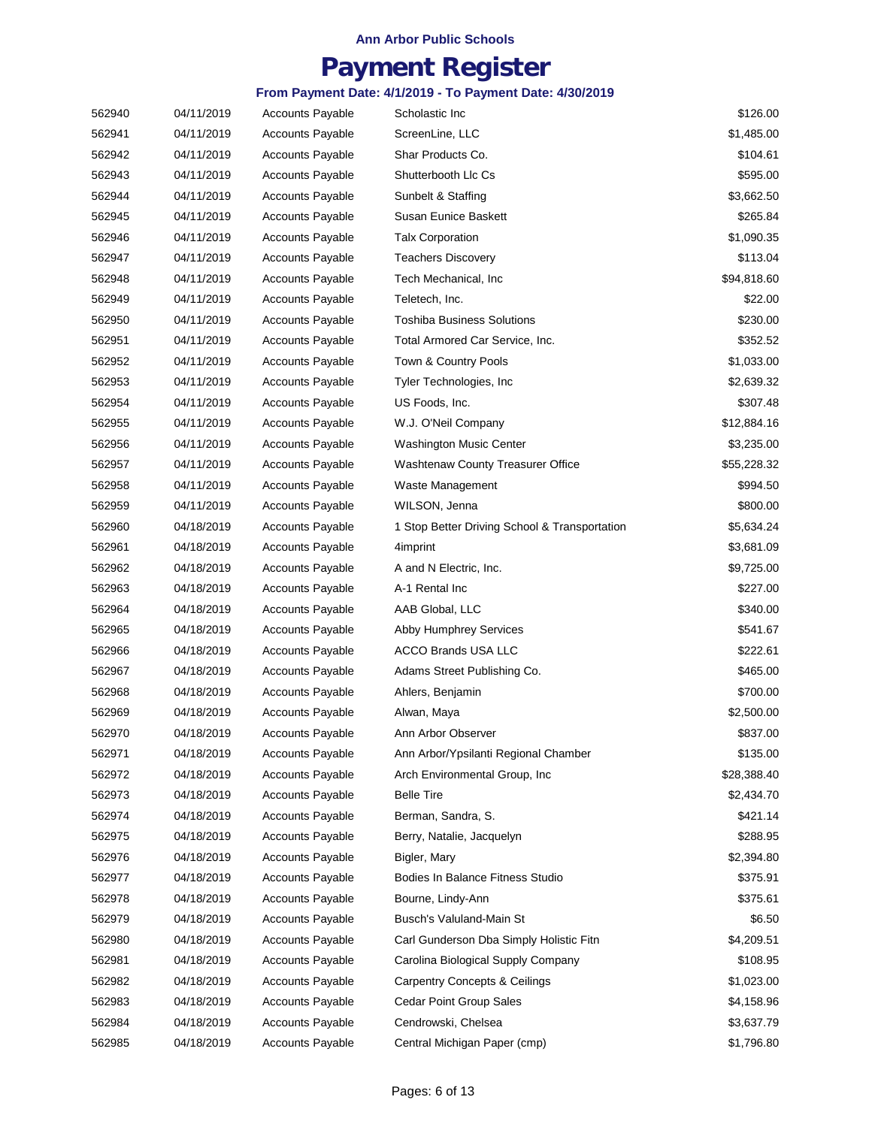## **Payment Register**

| 562940 | 04/11/2019 | <b>Accounts Payable</b> | Scholastic Inc                                | \$126.00    |
|--------|------------|-------------------------|-----------------------------------------------|-------------|
| 562941 | 04/11/2019 | <b>Accounts Payable</b> | ScreenLine, LLC                               | \$1,485.00  |
| 562942 | 04/11/2019 | <b>Accounts Payable</b> | Shar Products Co.                             | \$104.61    |
| 562943 | 04/11/2019 | <b>Accounts Payable</b> | Shutterbooth Llc Cs                           | \$595.00    |
| 562944 | 04/11/2019 | <b>Accounts Payable</b> | Sunbelt & Staffing                            | \$3,662.50  |
| 562945 | 04/11/2019 | <b>Accounts Payable</b> | Susan Eunice Baskett                          | \$265.84    |
| 562946 | 04/11/2019 | <b>Accounts Payable</b> | <b>Talx Corporation</b>                       | \$1,090.35  |
| 562947 | 04/11/2019 | <b>Accounts Payable</b> | <b>Teachers Discovery</b>                     | \$113.04    |
| 562948 | 04/11/2019 | <b>Accounts Payable</b> | Tech Mechanical, Inc                          | \$94,818.60 |
| 562949 | 04/11/2019 | <b>Accounts Payable</b> | Teletech, Inc.                                | \$22.00     |
| 562950 | 04/11/2019 | <b>Accounts Payable</b> | Toshiba Business Solutions                    | \$230.00    |
| 562951 | 04/11/2019 | <b>Accounts Payable</b> | Total Armored Car Service, Inc.               | \$352.52    |
| 562952 | 04/11/2019 | <b>Accounts Payable</b> | Town & Country Pools                          | \$1,033.00  |
| 562953 | 04/11/2019 | <b>Accounts Payable</b> | Tyler Technologies, Inc.                      | \$2,639.32  |
| 562954 | 04/11/2019 | <b>Accounts Payable</b> | US Foods, Inc.                                | \$307.48    |
| 562955 | 04/11/2019 | <b>Accounts Payable</b> | W.J. O'Neil Company                           | \$12,884.16 |
| 562956 | 04/11/2019 | <b>Accounts Payable</b> | <b>Washington Music Center</b>                | \$3,235.00  |
| 562957 | 04/11/2019 | <b>Accounts Payable</b> | <b>Washtenaw County Treasurer Office</b>      | \$55,228.32 |
| 562958 | 04/11/2019 | <b>Accounts Payable</b> | Waste Management                              | \$994.50    |
| 562959 | 04/11/2019 | <b>Accounts Payable</b> | WILSON, Jenna                                 | \$800.00    |
| 562960 | 04/18/2019 | <b>Accounts Payable</b> | 1 Stop Better Driving School & Transportation | \$5,634.24  |
| 562961 | 04/18/2019 | <b>Accounts Payable</b> | 4imprint                                      | \$3,681.09  |
| 562962 | 04/18/2019 | <b>Accounts Payable</b> | A and N Electric, Inc.                        | \$9,725.00  |
| 562963 | 04/18/2019 | <b>Accounts Payable</b> | A-1 Rental Inc                                | \$227.00    |
| 562964 | 04/18/2019 | <b>Accounts Payable</b> | AAB Global, LLC                               | \$340.00    |
| 562965 | 04/18/2019 | <b>Accounts Payable</b> | Abby Humphrey Services                        | \$541.67    |
| 562966 | 04/18/2019 | <b>Accounts Payable</b> | <b>ACCO Brands USA LLC</b>                    | \$222.61    |
| 562967 | 04/18/2019 | <b>Accounts Payable</b> | Adams Street Publishing Co.                   | \$465.00    |
| 562968 | 04/18/2019 | <b>Accounts Payable</b> | Ahlers, Benjamin                              | \$700.00    |
| 562969 | 04/18/2019 | <b>Accounts Payable</b> | Alwan, Maya                                   | \$2,500.00  |
| 562970 | 04/18/2019 | <b>Accounts Payable</b> | Ann Arbor Observer                            | \$837.00    |
| 562971 | 04/18/2019 | <b>Accounts Payable</b> | Ann Arbor/Ypsilanti Regional Chamber          | \$135.00    |
| 562972 | 04/18/2019 | <b>Accounts Payable</b> | Arch Environmental Group, Inc                 | \$28,388.40 |
| 562973 | 04/18/2019 | <b>Accounts Payable</b> | <b>Belle Tire</b>                             | \$2,434.70  |
| 562974 | 04/18/2019 | <b>Accounts Payable</b> | Berman, Sandra, S.                            | \$421.14    |
| 562975 | 04/18/2019 | <b>Accounts Payable</b> | Berry, Natalie, Jacquelyn                     | \$288.95    |
| 562976 | 04/18/2019 | <b>Accounts Payable</b> | Bigler, Mary                                  | \$2,394.80  |
| 562977 | 04/18/2019 | <b>Accounts Payable</b> | Bodies In Balance Fitness Studio              | \$375.91    |
| 562978 | 04/18/2019 | <b>Accounts Payable</b> | Bourne, Lindy-Ann                             | \$375.61    |
| 562979 | 04/18/2019 | <b>Accounts Payable</b> | Busch's Valuland-Main St                      | \$6.50      |
| 562980 | 04/18/2019 | <b>Accounts Payable</b> | Carl Gunderson Dba Simply Holistic Fitn       | \$4,209.51  |
| 562981 | 04/18/2019 | <b>Accounts Payable</b> | Carolina Biological Supply Company            | \$108.95    |
| 562982 | 04/18/2019 | <b>Accounts Payable</b> | <b>Carpentry Concepts &amp; Ceilings</b>      | \$1,023.00  |
| 562983 | 04/18/2019 | <b>Accounts Payable</b> | Cedar Point Group Sales                       | \$4,158.96  |
| 562984 | 04/18/2019 | <b>Accounts Payable</b> | Cendrowski, Chelsea                           | \$3,637.79  |
| 562985 | 04/18/2019 | <b>Accounts Payable</b> | Central Michigan Paper (cmp)                  | \$1,796.80  |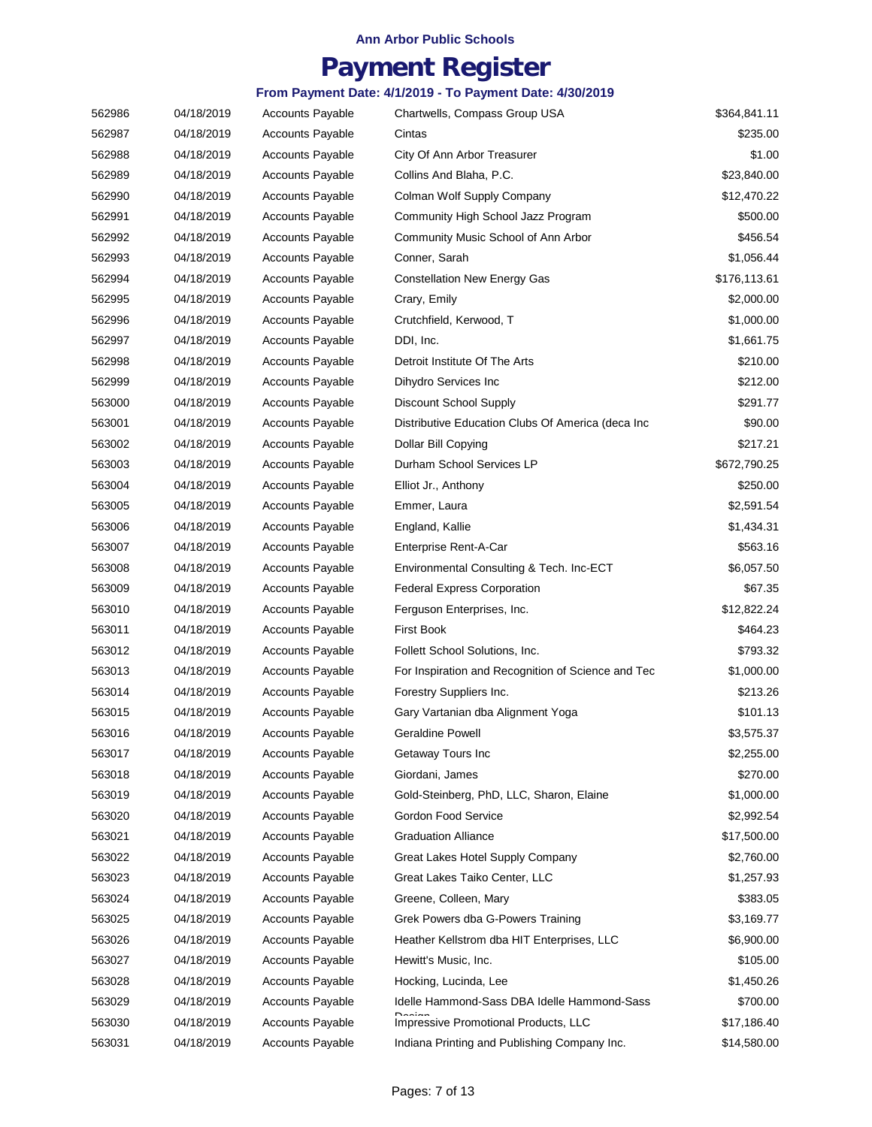### **Payment Register**

| 562986 | 04/18/2019 | <b>Accounts Payable</b> | Chartwells, Compass Group USA                      | \$364,841.11 |
|--------|------------|-------------------------|----------------------------------------------------|--------------|
| 562987 | 04/18/2019 | <b>Accounts Payable</b> | Cintas                                             | \$235.00     |
| 562988 | 04/18/2019 | <b>Accounts Payable</b> | City Of Ann Arbor Treasurer                        | \$1.00       |
| 562989 | 04/18/2019 | <b>Accounts Payable</b> | Collins And Blaha, P.C.                            | \$23,840.00  |
| 562990 | 04/18/2019 | <b>Accounts Payable</b> | Colman Wolf Supply Company                         | \$12,470.22  |
| 562991 | 04/18/2019 | <b>Accounts Payable</b> | Community High School Jazz Program                 | \$500.00     |
| 562992 | 04/18/2019 | <b>Accounts Payable</b> | Community Music School of Ann Arbor                | \$456.54     |
| 562993 | 04/18/2019 | <b>Accounts Payable</b> | Conner, Sarah                                      | \$1,056.44   |
| 562994 | 04/18/2019 | <b>Accounts Payable</b> | <b>Constellation New Energy Gas</b>                | \$176,113.61 |
| 562995 | 04/18/2019 | <b>Accounts Payable</b> | Crary, Emily                                       | \$2,000.00   |
| 562996 | 04/18/2019 | <b>Accounts Payable</b> | Crutchfield, Kerwood, T                            | \$1,000.00   |
| 562997 | 04/18/2019 | <b>Accounts Payable</b> | DDI, Inc.                                          | \$1,661.75   |
| 562998 | 04/18/2019 | <b>Accounts Payable</b> | Detroit Institute Of The Arts                      | \$210.00     |
| 562999 | 04/18/2019 | <b>Accounts Payable</b> | Dihydro Services Inc                               | \$212.00     |
| 563000 | 04/18/2019 | <b>Accounts Payable</b> | Discount School Supply                             | \$291.77     |
| 563001 | 04/18/2019 | <b>Accounts Payable</b> | Distributive Education Clubs Of America (deca Inc  | \$90.00      |
| 563002 | 04/18/2019 | <b>Accounts Payable</b> | Dollar Bill Copying                                | \$217.21     |
| 563003 | 04/18/2019 | <b>Accounts Payable</b> | Durham School Services LP                          | \$672,790.25 |
| 563004 | 04/18/2019 | <b>Accounts Payable</b> | Elliot Jr., Anthony                                | \$250.00     |
| 563005 | 04/18/2019 | <b>Accounts Payable</b> | Emmer, Laura                                       | \$2,591.54   |
| 563006 | 04/18/2019 | <b>Accounts Payable</b> | England, Kallie                                    | \$1,434.31   |
| 563007 | 04/18/2019 | <b>Accounts Payable</b> | Enterprise Rent-A-Car                              | \$563.16     |
| 563008 | 04/18/2019 | <b>Accounts Payable</b> | Environmental Consulting & Tech. Inc-ECT           | \$6,057.50   |
| 563009 | 04/18/2019 | <b>Accounts Payable</b> | <b>Federal Express Corporation</b>                 | \$67.35      |
| 563010 | 04/18/2019 | <b>Accounts Payable</b> | Ferguson Enterprises, Inc.                         | \$12,822.24  |
| 563011 | 04/18/2019 | <b>Accounts Payable</b> | <b>First Book</b>                                  | \$464.23     |
| 563012 | 04/18/2019 | <b>Accounts Payable</b> | Follett School Solutions, Inc.                     | \$793.32     |
| 563013 | 04/18/2019 | <b>Accounts Payable</b> | For Inspiration and Recognition of Science and Tec | \$1,000.00   |
| 563014 | 04/18/2019 | <b>Accounts Payable</b> | Forestry Suppliers Inc.                            | \$213.26     |
| 563015 | 04/18/2019 | <b>Accounts Payable</b> | Gary Vartanian dba Alignment Yoga                  | \$101.13     |
| 563016 | 04/18/2019 | <b>Accounts Payable</b> | <b>Geraldine Powell</b>                            | \$3,575.37   |
| 563017 | 04/18/2019 | <b>Accounts Payable</b> | Getaway Tours Inc                                  | \$2,255.00   |
| 563018 | 04/18/2019 | <b>Accounts Payable</b> | Giordani, James                                    | \$270.00     |
| 563019 | 04/18/2019 | <b>Accounts Payable</b> | Gold-Steinberg, PhD, LLC, Sharon, Elaine           | \$1,000.00   |
| 563020 | 04/18/2019 | <b>Accounts Payable</b> | Gordon Food Service                                | \$2,992.54   |
| 563021 | 04/18/2019 | Accounts Payable        | <b>Graduation Alliance</b>                         | \$17,500.00  |
| 563022 | 04/18/2019 | <b>Accounts Payable</b> | Great Lakes Hotel Supply Company                   | \$2,760.00   |
| 563023 | 04/18/2019 | <b>Accounts Payable</b> | Great Lakes Taiko Center, LLC                      | \$1,257.93   |
| 563024 | 04/18/2019 | <b>Accounts Payable</b> | Greene, Colleen, Mary                              | \$383.05     |
| 563025 | 04/18/2019 | <b>Accounts Payable</b> | Grek Powers dba G-Powers Training                  | \$3,169.77   |
| 563026 | 04/18/2019 | <b>Accounts Payable</b> | Heather Kellstrom dba HIT Enterprises, LLC         | \$6,900.00   |
| 563027 | 04/18/2019 | <b>Accounts Payable</b> | Hewitt's Music, Inc.                               | \$105.00     |
| 563028 | 04/18/2019 | <b>Accounts Payable</b> | Hocking, Lucinda, Lee                              | \$1,450.26   |
| 563029 | 04/18/2019 | <b>Accounts Payable</b> | Idelle Hammond-Sass DBA Idelle Hammond-Sass        | \$700.00     |
| 563030 | 04/18/2019 | Accounts Payable        | Impressive Promotional Products, LLC               | \$17,186.40  |
| 563031 | 04/18/2019 | Accounts Payable        | Indiana Printing and Publishing Company Inc.       | \$14,580.00  |
|        |            |                         |                                                    |              |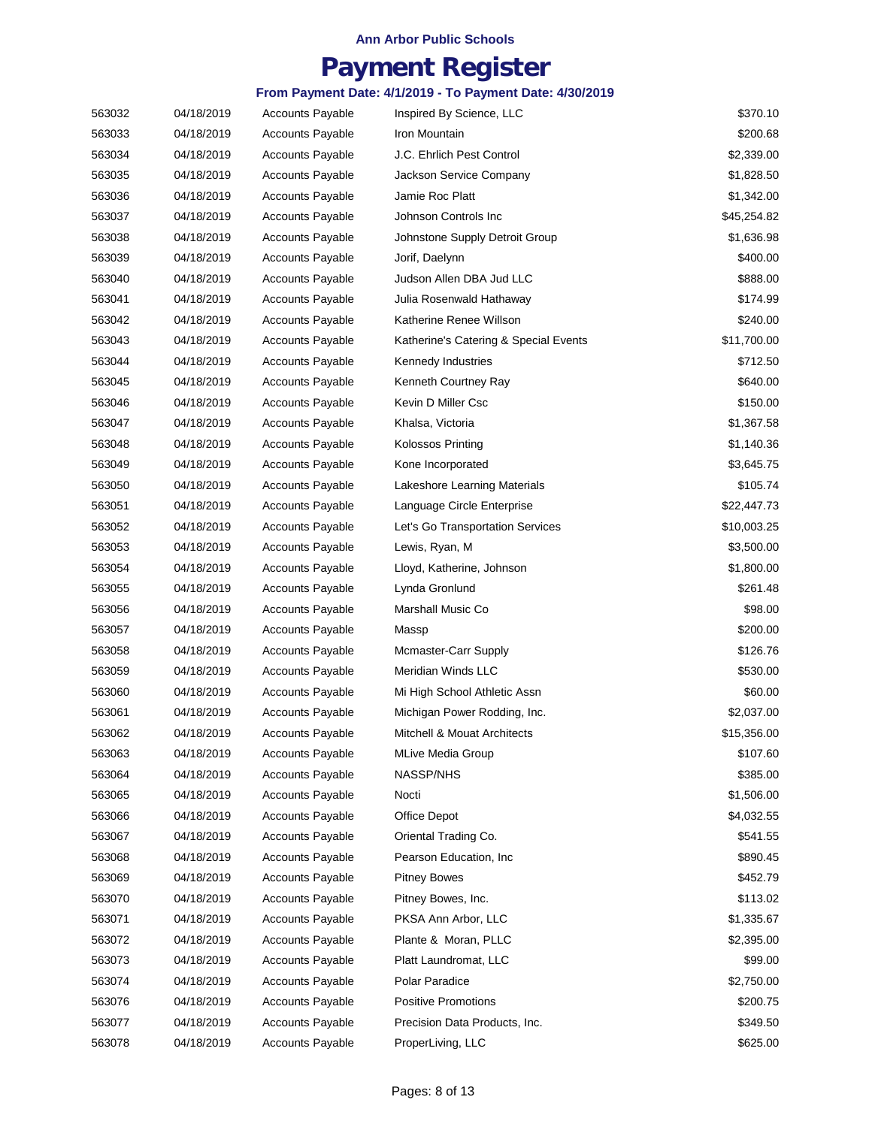## **Payment Register**

| 563032 | 04/18/2019 | <b>Accounts Payable</b> | Inspired By Science, LLC              | \$370.10    |
|--------|------------|-------------------------|---------------------------------------|-------------|
| 563033 | 04/18/2019 | <b>Accounts Payable</b> | Iron Mountain                         | \$200.68    |
| 563034 | 04/18/2019 | <b>Accounts Payable</b> | J.C. Ehrlich Pest Control             | \$2,339.00  |
| 563035 | 04/18/2019 | <b>Accounts Payable</b> | Jackson Service Company               | \$1,828.50  |
| 563036 | 04/18/2019 | <b>Accounts Payable</b> | Jamie Roc Platt                       | \$1,342.00  |
| 563037 | 04/18/2019 | <b>Accounts Payable</b> | Johnson Controls Inc.                 | \$45,254.82 |
| 563038 | 04/18/2019 | <b>Accounts Payable</b> | Johnstone Supply Detroit Group        | \$1,636.98  |
| 563039 | 04/18/2019 | <b>Accounts Payable</b> | Jorif, Daelynn                        | \$400.00    |
| 563040 | 04/18/2019 | <b>Accounts Payable</b> | Judson Allen DBA Jud LLC              | \$888.00    |
| 563041 | 04/18/2019 | <b>Accounts Payable</b> | Julia Rosenwald Hathaway              | \$174.99    |
| 563042 | 04/18/2019 | <b>Accounts Payable</b> | Katherine Renee Willson               | \$240.00    |
| 563043 | 04/18/2019 | <b>Accounts Payable</b> | Katherine's Catering & Special Events | \$11,700.00 |
| 563044 | 04/18/2019 | <b>Accounts Payable</b> | Kennedy Industries                    | \$712.50    |
| 563045 | 04/18/2019 | <b>Accounts Payable</b> | Kenneth Courtney Ray                  | \$640.00    |
| 563046 | 04/18/2019 | <b>Accounts Payable</b> | Kevin D Miller Csc                    | \$150.00    |
| 563047 | 04/18/2019 | <b>Accounts Payable</b> | Khalsa, Victoria                      | \$1,367.58  |
| 563048 | 04/18/2019 | <b>Accounts Payable</b> | <b>Kolossos Printing</b>              | \$1,140.36  |
| 563049 | 04/18/2019 | <b>Accounts Payable</b> | Kone Incorporated                     | \$3,645.75  |
| 563050 | 04/18/2019 | <b>Accounts Payable</b> | Lakeshore Learning Materials          | \$105.74    |
| 563051 | 04/18/2019 | <b>Accounts Payable</b> | Language Circle Enterprise            | \$22,447.73 |
| 563052 | 04/18/2019 | <b>Accounts Payable</b> | Let's Go Transportation Services      | \$10,003.25 |
| 563053 | 04/18/2019 | <b>Accounts Payable</b> | Lewis, Ryan, M                        | \$3,500.00  |
| 563054 | 04/18/2019 | <b>Accounts Payable</b> | Lloyd, Katherine, Johnson             | \$1,800.00  |
| 563055 | 04/18/2019 | <b>Accounts Payable</b> | Lynda Gronlund                        | \$261.48    |
| 563056 | 04/18/2019 | <b>Accounts Payable</b> | Marshall Music Co                     | \$98.00     |
| 563057 | 04/18/2019 | <b>Accounts Payable</b> | Massp                                 | \$200.00    |
| 563058 | 04/18/2019 | <b>Accounts Payable</b> | Mcmaster-Carr Supply                  | \$126.76    |
| 563059 | 04/18/2019 | <b>Accounts Payable</b> | <b>Meridian Winds LLC</b>             | \$530.00    |
| 563060 | 04/18/2019 | <b>Accounts Payable</b> | Mi High School Athletic Assn          | \$60.00     |
| 563061 | 04/18/2019 | <b>Accounts Payable</b> | Michigan Power Rodding, Inc.          | \$2,037.00  |
| 563062 | 04/18/2019 | <b>Accounts Payable</b> | Mitchell & Mouat Architects           | \$15,356.00 |
| 563063 | 04/18/2019 | <b>Accounts Payable</b> | <b>MLive Media Group</b>              | \$107.60    |
| 563064 | 04/18/2019 | <b>Accounts Payable</b> | <b>NASSP/NHS</b>                      | \$385.00    |
| 563065 | 04/18/2019 | <b>Accounts Payable</b> | Nocti                                 | \$1,506.00  |
| 563066 | 04/18/2019 | <b>Accounts Payable</b> | Office Depot                          | \$4,032.55  |
| 563067 | 04/18/2019 | <b>Accounts Payable</b> | Oriental Trading Co.                  | \$541.55    |
| 563068 | 04/18/2019 | <b>Accounts Payable</b> | Pearson Education, Inc.               | \$890.45    |
| 563069 | 04/18/2019 | <b>Accounts Payable</b> | <b>Pitney Bowes</b>                   | \$452.79    |
| 563070 | 04/18/2019 | <b>Accounts Payable</b> | Pitney Bowes, Inc.                    | \$113.02    |
| 563071 | 04/18/2019 | <b>Accounts Payable</b> | PKSA Ann Arbor, LLC                   | \$1,335.67  |
| 563072 | 04/18/2019 | <b>Accounts Payable</b> | Plante & Moran, PLLC                  | \$2,395.00  |
| 563073 | 04/18/2019 | <b>Accounts Payable</b> | Platt Laundromat, LLC                 | \$99.00     |
| 563074 | 04/18/2019 | <b>Accounts Payable</b> | Polar Paradice                        | \$2,750.00  |
| 563076 | 04/18/2019 | <b>Accounts Payable</b> | Positive Promotions                   | \$200.75    |
| 563077 | 04/18/2019 | <b>Accounts Payable</b> | Precision Data Products, Inc.         | \$349.50    |
| 563078 | 04/18/2019 | <b>Accounts Payable</b> | ProperLiving, LLC                     | \$625.00    |
|        |            |                         |                                       |             |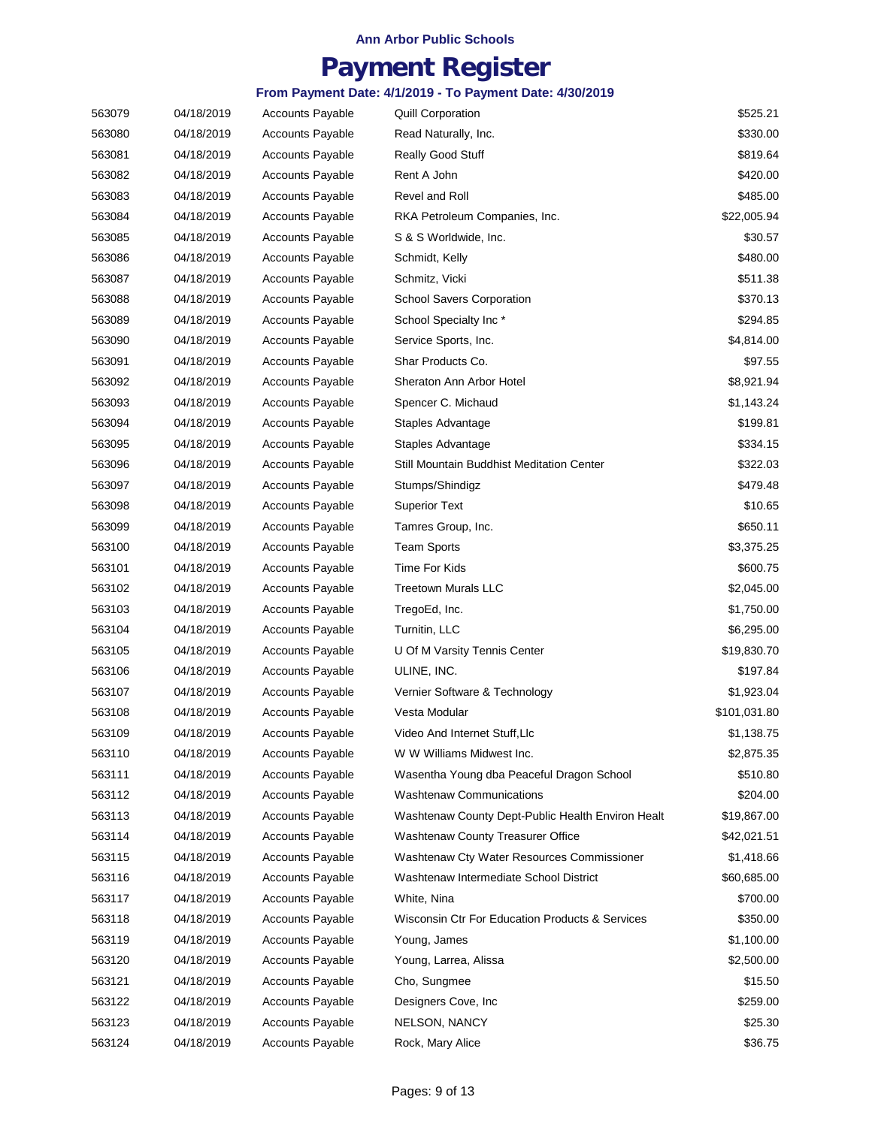## **Payment Register**

| 563079 | 04/18/2019 | <b>Accounts Payable</b> | <b>Quill Corporation</b>                          | \$525.21     |
|--------|------------|-------------------------|---------------------------------------------------|--------------|
| 563080 | 04/18/2019 | <b>Accounts Payable</b> | Read Naturally, Inc.                              | \$330.00     |
| 563081 | 04/18/2019 | <b>Accounts Payable</b> | Really Good Stuff                                 | \$819.64     |
| 563082 | 04/18/2019 | <b>Accounts Payable</b> | Rent A John                                       | \$420.00     |
| 563083 | 04/18/2019 | <b>Accounts Payable</b> | Revel and Roll                                    | \$485.00     |
| 563084 | 04/18/2019 | <b>Accounts Payable</b> | RKA Petroleum Companies, Inc.                     | \$22,005.94  |
| 563085 | 04/18/2019 | <b>Accounts Payable</b> | S & S Worldwide, Inc.                             | \$30.57      |
| 563086 | 04/18/2019 | <b>Accounts Payable</b> | Schmidt, Kelly                                    | \$480.00     |
| 563087 | 04/18/2019 | <b>Accounts Payable</b> | Schmitz, Vicki                                    | \$511.38     |
| 563088 | 04/18/2019 | <b>Accounts Payable</b> | <b>School Savers Corporation</b>                  | \$370.13     |
| 563089 | 04/18/2019 | Accounts Payable        | School Specialty Inc*                             | \$294.85     |
| 563090 | 04/18/2019 | <b>Accounts Payable</b> | Service Sports, Inc.                              | \$4,814.00   |
| 563091 | 04/18/2019 | <b>Accounts Payable</b> | Shar Products Co.                                 | \$97.55      |
| 563092 | 04/18/2019 | <b>Accounts Payable</b> | Sheraton Ann Arbor Hotel                          | \$8,921.94   |
| 563093 | 04/18/2019 | <b>Accounts Payable</b> | Spencer C. Michaud                                | \$1,143.24   |
| 563094 | 04/18/2019 | <b>Accounts Payable</b> | Staples Advantage                                 | \$199.81     |
| 563095 | 04/18/2019 | <b>Accounts Payable</b> | Staples Advantage                                 | \$334.15     |
| 563096 | 04/18/2019 | <b>Accounts Payable</b> | Still Mountain Buddhist Meditation Center         | \$322.03     |
| 563097 | 04/18/2019 | <b>Accounts Payable</b> | Stumps/Shindigz                                   | \$479.48     |
| 563098 | 04/18/2019 | <b>Accounts Payable</b> | <b>Superior Text</b>                              | \$10.65      |
| 563099 | 04/18/2019 | <b>Accounts Payable</b> | Tamres Group, Inc.                                | \$650.11     |
| 563100 | 04/18/2019 | <b>Accounts Payable</b> | <b>Team Sports</b>                                | \$3,375.25   |
| 563101 | 04/18/2019 | <b>Accounts Payable</b> | Time For Kids                                     | \$600.75     |
| 563102 | 04/18/2019 | <b>Accounts Payable</b> | <b>Treetown Murals LLC</b>                        | \$2,045.00   |
| 563103 | 04/18/2019 | <b>Accounts Payable</b> | TregoEd, Inc.                                     | \$1,750.00   |
| 563104 | 04/18/2019 | Accounts Payable        | Turnitin, LLC                                     | \$6,295.00   |
| 563105 | 04/18/2019 | <b>Accounts Payable</b> | U Of M Varsity Tennis Center                      | \$19,830.70  |
| 563106 | 04/18/2019 | <b>Accounts Payable</b> | ULINE, INC.                                       | \$197.84     |
| 563107 | 04/18/2019 | <b>Accounts Payable</b> | Vernier Software & Technology                     | \$1,923.04   |
| 563108 | 04/18/2019 | Accounts Payable        | Vesta Modular                                     | \$101,031.80 |
| 563109 | 04/18/2019 | <b>Accounts Payable</b> | Video And Internet Stuff, Llc                     | \$1,138.75   |
| 563110 | 04/18/2019 | <b>Accounts Payable</b> | W W Williams Midwest Inc.                         | \$2,875.35   |
| 563111 | 04/18/2019 | <b>Accounts Payable</b> | Wasentha Young dba Peaceful Dragon School         | \$510.80     |
| 563112 | 04/18/2019 | <b>Accounts Payable</b> | <b>Washtenaw Communications</b>                   | \$204.00     |
| 563113 | 04/18/2019 | <b>Accounts Payable</b> | Washtenaw County Dept-Public Health Environ Healt | \$19,867.00  |
| 563114 | 04/18/2019 | <b>Accounts Payable</b> | Washtenaw County Treasurer Office                 | \$42,021.51  |
| 563115 | 04/18/2019 | <b>Accounts Payable</b> | Washtenaw Cty Water Resources Commissioner        | \$1,418.66   |
| 563116 | 04/18/2019 | <b>Accounts Payable</b> | Washtenaw Intermediate School District            | \$60,685.00  |
| 563117 | 04/18/2019 | <b>Accounts Payable</b> | White, Nina                                       | \$700.00     |
| 563118 | 04/18/2019 | <b>Accounts Payable</b> | Wisconsin Ctr For Education Products & Services   | \$350.00     |
| 563119 | 04/18/2019 | <b>Accounts Payable</b> | Young, James                                      | \$1,100.00   |
| 563120 | 04/18/2019 | <b>Accounts Payable</b> | Young, Larrea, Alissa                             | \$2,500.00   |
| 563121 | 04/18/2019 | <b>Accounts Payable</b> | Cho, Sungmee                                      | \$15.50      |
| 563122 | 04/18/2019 | <b>Accounts Payable</b> | Designers Cove, Inc.                              | \$259.00     |
| 563123 | 04/18/2019 | <b>Accounts Payable</b> | NELSON, NANCY                                     | \$25.30      |
| 563124 | 04/18/2019 | <b>Accounts Payable</b> | Rock, Mary Alice                                  | \$36.75      |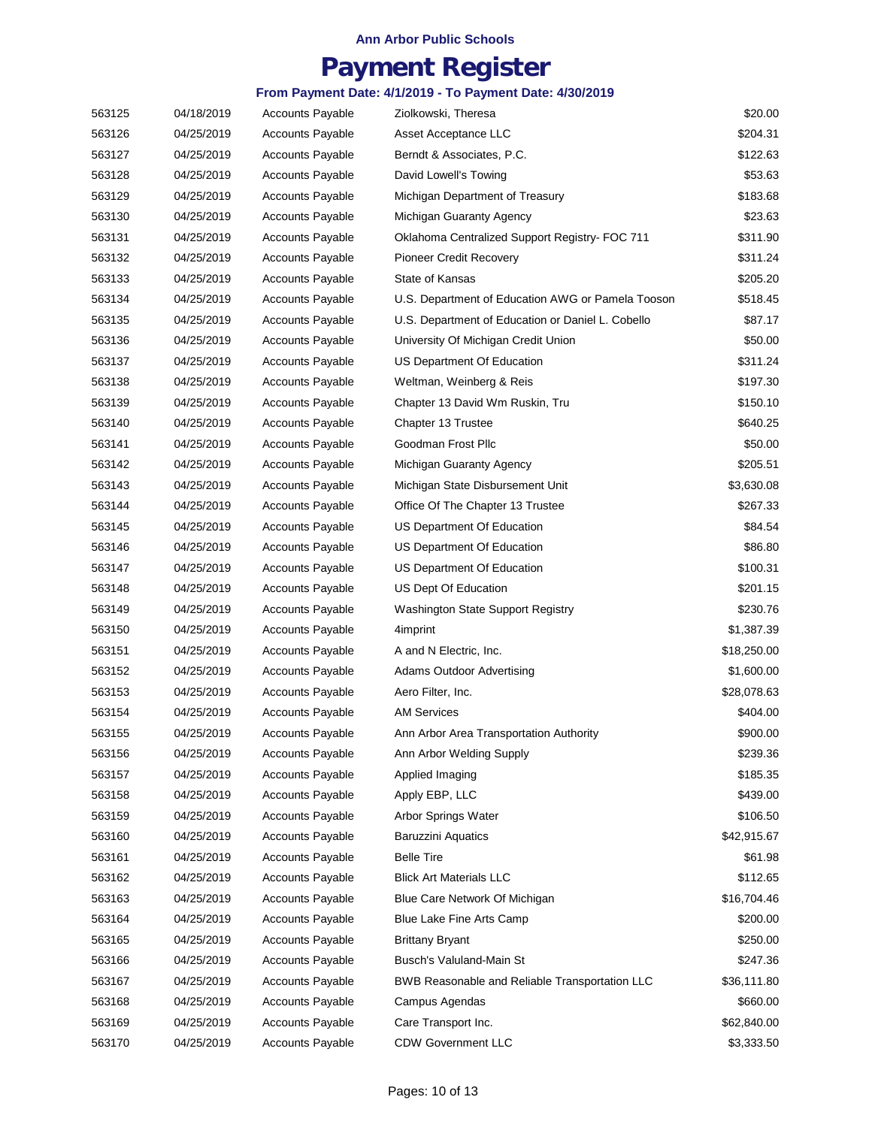## **Payment Register**

| 563125 | 04/18/2019 | <b>Accounts Payable</b> | Ziolkowski, Theresa                               | \$20.00     |
|--------|------------|-------------------------|---------------------------------------------------|-------------|
| 563126 | 04/25/2019 | <b>Accounts Payable</b> | Asset Acceptance LLC                              | \$204.31    |
| 563127 | 04/25/2019 | <b>Accounts Payable</b> | Berndt & Associates, P.C.                         | \$122.63    |
| 563128 | 04/25/2019 | <b>Accounts Payable</b> | David Lowell's Towing                             | \$53.63     |
| 563129 | 04/25/2019 | <b>Accounts Payable</b> | Michigan Department of Treasury                   | \$183.68    |
| 563130 | 04/25/2019 | <b>Accounts Payable</b> | Michigan Guaranty Agency                          | \$23.63     |
| 563131 | 04/25/2019 | <b>Accounts Payable</b> | Oklahoma Centralized Support Registry- FOC 711    | \$311.90    |
| 563132 | 04/25/2019 | <b>Accounts Payable</b> | Pioneer Credit Recovery                           | \$311.24    |
| 563133 | 04/25/2019 | <b>Accounts Payable</b> | State of Kansas                                   | \$205.20    |
| 563134 | 04/25/2019 | <b>Accounts Payable</b> | U.S. Department of Education AWG or Pamela Tooson | \$518.45    |
| 563135 | 04/25/2019 | <b>Accounts Payable</b> | U.S. Department of Education or Daniel L. Cobello | \$87.17     |
| 563136 | 04/25/2019 | <b>Accounts Payable</b> | University Of Michigan Credit Union               | \$50.00     |
| 563137 | 04/25/2019 | <b>Accounts Payable</b> | US Department Of Education                        | \$311.24    |
| 563138 | 04/25/2019 | <b>Accounts Payable</b> | Weltman, Weinberg & Reis                          | \$197.30    |
| 563139 | 04/25/2019 | <b>Accounts Payable</b> | Chapter 13 David Wm Ruskin, Tru                   | \$150.10    |
| 563140 | 04/25/2019 | <b>Accounts Payable</b> | Chapter 13 Trustee                                | \$640.25    |
| 563141 | 04/25/2019 | <b>Accounts Payable</b> | Goodman Frost Pllc                                | \$50.00     |
| 563142 | 04/25/2019 | <b>Accounts Payable</b> | Michigan Guaranty Agency                          | \$205.51    |
| 563143 | 04/25/2019 | <b>Accounts Payable</b> | Michigan State Disbursement Unit                  | \$3,630.08  |
| 563144 | 04/25/2019 | <b>Accounts Payable</b> | Office Of The Chapter 13 Trustee                  | \$267.33    |
| 563145 | 04/25/2019 | Accounts Payable        | US Department Of Education                        | \$84.54     |
| 563146 | 04/25/2019 | <b>Accounts Payable</b> | US Department Of Education                        | \$86.80     |
| 563147 | 04/25/2019 | <b>Accounts Payable</b> | US Department Of Education                        | \$100.31    |
| 563148 | 04/25/2019 | <b>Accounts Payable</b> | US Dept Of Education                              | \$201.15    |
| 563149 | 04/25/2019 | <b>Accounts Payable</b> | <b>Washington State Support Registry</b>          | \$230.76    |
| 563150 | 04/25/2019 | <b>Accounts Payable</b> | 4imprint                                          | \$1,387.39  |
| 563151 | 04/25/2019 | <b>Accounts Payable</b> | A and N Electric, Inc.                            | \$18,250.00 |
| 563152 | 04/25/2019 | <b>Accounts Payable</b> | <b>Adams Outdoor Advertising</b>                  | \$1,600.00  |
| 563153 | 04/25/2019 | <b>Accounts Payable</b> | Aero Filter, Inc.                                 | \$28,078.63 |
| 563154 | 04/25/2019 | <b>Accounts Payable</b> | <b>AM Services</b>                                | \$404.00    |
| 563155 | 04/25/2019 | <b>Accounts Payable</b> | Ann Arbor Area Transportation Authority           | \$900.00    |
| 563156 | 04/25/2019 | <b>Accounts Payable</b> | Ann Arbor Welding Supply                          | \$239.36    |
| 563157 | 04/25/2019 | <b>Accounts Payable</b> | Applied Imaging                                   | \$185.35    |
| 563158 | 04/25/2019 | <b>Accounts Payable</b> | Apply EBP, LLC                                    | \$439.00    |
| 563159 | 04/25/2019 | <b>Accounts Payable</b> | Arbor Springs Water                               | \$106.50    |
| 563160 | 04/25/2019 | <b>Accounts Payable</b> | <b>Baruzzini Aquatics</b>                         | \$42,915.67 |
| 563161 | 04/25/2019 | <b>Accounts Payable</b> | <b>Belle Tire</b>                                 | \$61.98     |
| 563162 | 04/25/2019 | <b>Accounts Payable</b> | <b>Blick Art Materials LLC</b>                    | \$112.65    |
| 563163 | 04/25/2019 | <b>Accounts Payable</b> | Blue Care Network Of Michigan                     | \$16,704.46 |
| 563164 | 04/25/2019 | <b>Accounts Payable</b> | Blue Lake Fine Arts Camp                          | \$200.00    |
| 563165 | 04/25/2019 | <b>Accounts Payable</b> | <b>Brittany Bryant</b>                            | \$250.00    |
| 563166 | 04/25/2019 | <b>Accounts Payable</b> | Busch's Valuland-Main St                          | \$247.36    |
| 563167 | 04/25/2019 | <b>Accounts Payable</b> | BWB Reasonable and Reliable Transportation LLC    | \$36,111.80 |
| 563168 | 04/25/2019 | <b>Accounts Payable</b> | Campus Agendas                                    | \$660.00    |
| 563169 | 04/25/2019 | <b>Accounts Payable</b> | Care Transport Inc.                               | \$62,840.00 |
| 563170 | 04/25/2019 | <b>Accounts Payable</b> | <b>CDW Government LLC</b>                         | \$3,333.50  |
|        |            |                         |                                                   |             |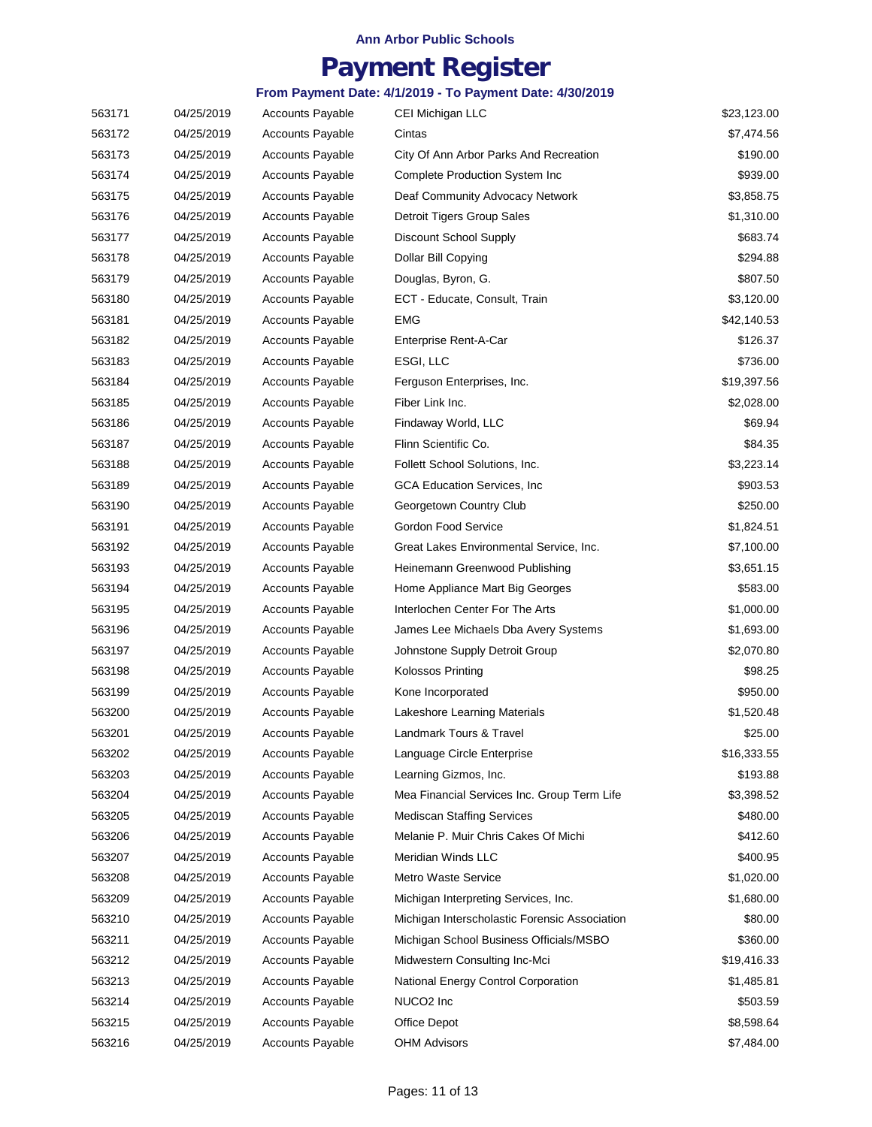## **Payment Register**

| 563171 | 04/25/2019 | <b>Accounts Payable</b> | CEI Michigan LLC                              | \$23,123.00 |
|--------|------------|-------------------------|-----------------------------------------------|-------------|
| 563172 | 04/25/2019 | <b>Accounts Payable</b> | Cintas                                        | \$7,474.56  |
| 563173 | 04/25/2019 | <b>Accounts Payable</b> | City Of Ann Arbor Parks And Recreation        | \$190.00    |
| 563174 | 04/25/2019 | <b>Accounts Payable</b> | Complete Production System Inc                | \$939.00    |
| 563175 | 04/25/2019 | <b>Accounts Payable</b> | Deaf Community Advocacy Network               | \$3,858.75  |
| 563176 | 04/25/2019 | <b>Accounts Payable</b> | Detroit Tigers Group Sales                    | \$1,310.00  |
| 563177 | 04/25/2019 | <b>Accounts Payable</b> | Discount School Supply                        | \$683.74    |
| 563178 | 04/25/2019 | <b>Accounts Payable</b> | Dollar Bill Copying                           | \$294.88    |
| 563179 | 04/25/2019 | <b>Accounts Payable</b> | Douglas, Byron, G.                            | \$807.50    |
| 563180 | 04/25/2019 | <b>Accounts Payable</b> | ECT - Educate, Consult, Train                 | \$3,120.00  |
| 563181 | 04/25/2019 | <b>Accounts Payable</b> | <b>EMG</b>                                    | \$42,140.53 |
| 563182 | 04/25/2019 | <b>Accounts Payable</b> | Enterprise Rent-A-Car                         | \$126.37    |
| 563183 | 04/25/2019 | <b>Accounts Payable</b> | ESGI, LLC                                     | \$736.00    |
| 563184 | 04/25/2019 | <b>Accounts Payable</b> | Ferguson Enterprises, Inc.                    | \$19,397.56 |
| 563185 | 04/25/2019 | <b>Accounts Payable</b> | Fiber Link Inc.                               | \$2,028.00  |
| 563186 | 04/25/2019 | <b>Accounts Payable</b> | Findaway World, LLC                           | \$69.94     |
| 563187 | 04/25/2019 | <b>Accounts Payable</b> | Flinn Scientific Co.                          | \$84.35     |
| 563188 | 04/25/2019 | <b>Accounts Payable</b> | Follett School Solutions, Inc.                | \$3,223.14  |
| 563189 | 04/25/2019 | <b>Accounts Payable</b> | GCA Education Services, Inc.                  | \$903.53    |
| 563190 | 04/25/2019 | <b>Accounts Payable</b> | Georgetown Country Club                       | \$250.00    |
| 563191 | 04/25/2019 | <b>Accounts Payable</b> | Gordon Food Service                           | \$1,824.51  |
| 563192 | 04/25/2019 | <b>Accounts Payable</b> | Great Lakes Environmental Service, Inc.       | \$7,100.00  |
| 563193 | 04/25/2019 | <b>Accounts Payable</b> | Heinemann Greenwood Publishing                | \$3,651.15  |
| 563194 | 04/25/2019 | <b>Accounts Payable</b> | Home Appliance Mart Big Georges               | \$583.00    |
| 563195 | 04/25/2019 | <b>Accounts Payable</b> | Interlochen Center For The Arts               | \$1,000.00  |
| 563196 | 04/25/2019 | <b>Accounts Payable</b> | James Lee Michaels Dba Avery Systems          | \$1,693.00  |
| 563197 | 04/25/2019 | <b>Accounts Payable</b> | Johnstone Supply Detroit Group                | \$2,070.80  |
| 563198 | 04/25/2019 | <b>Accounts Payable</b> | <b>Kolossos Printing</b>                      | \$98.25     |
| 563199 | 04/25/2019 | <b>Accounts Payable</b> | Kone Incorporated                             | \$950.00    |
| 563200 | 04/25/2019 | <b>Accounts Payable</b> | Lakeshore Learning Materials                  | \$1,520.48  |
| 563201 | 04/25/2019 | <b>Accounts Payable</b> | Landmark Tours & Travel                       | \$25.00     |
| 563202 | 04/25/2019 | <b>Accounts Payable</b> | Language Circle Enterprise                    | \$16,333.55 |
| 563203 | 04/25/2019 | <b>Accounts Payable</b> | Learning Gizmos, Inc.                         | \$193.88    |
| 563204 | 04/25/2019 | <b>Accounts Payable</b> | Mea Financial Services Inc. Group Term Life   | \$3,398.52  |
| 563205 | 04/25/2019 | <b>Accounts Payable</b> | <b>Mediscan Staffing Services</b>             | \$480.00    |
| 563206 | 04/25/2019 | <b>Accounts Payable</b> | Melanie P. Muir Chris Cakes Of Michi          | \$412.60    |
| 563207 | 04/25/2019 | <b>Accounts Payable</b> | Meridian Winds LLC                            | \$400.95    |
| 563208 | 04/25/2019 | <b>Accounts Payable</b> | <b>Metro Waste Service</b>                    | \$1,020.00  |
| 563209 | 04/25/2019 | <b>Accounts Payable</b> | Michigan Interpreting Services, Inc.          | \$1,680.00  |
| 563210 | 04/25/2019 | <b>Accounts Payable</b> | Michigan Interscholastic Forensic Association | \$80.00     |
| 563211 | 04/25/2019 | <b>Accounts Payable</b> | Michigan School Business Officials/MSBO       | \$360.00    |
| 563212 | 04/25/2019 | <b>Accounts Payable</b> | Midwestern Consulting Inc-Mci                 | \$19,416.33 |
| 563213 | 04/25/2019 | <b>Accounts Payable</b> | National Energy Control Corporation           | \$1,485.81  |
| 563214 | 04/25/2019 | <b>Accounts Payable</b> | NUCO <sub>2</sub> Inc                         | \$503.59    |
| 563215 | 04/25/2019 | <b>Accounts Payable</b> | Office Depot                                  | \$8,598.64  |
| 563216 | 04/25/2019 | <b>Accounts Payable</b> | <b>OHM Advisors</b>                           | \$7,484.00  |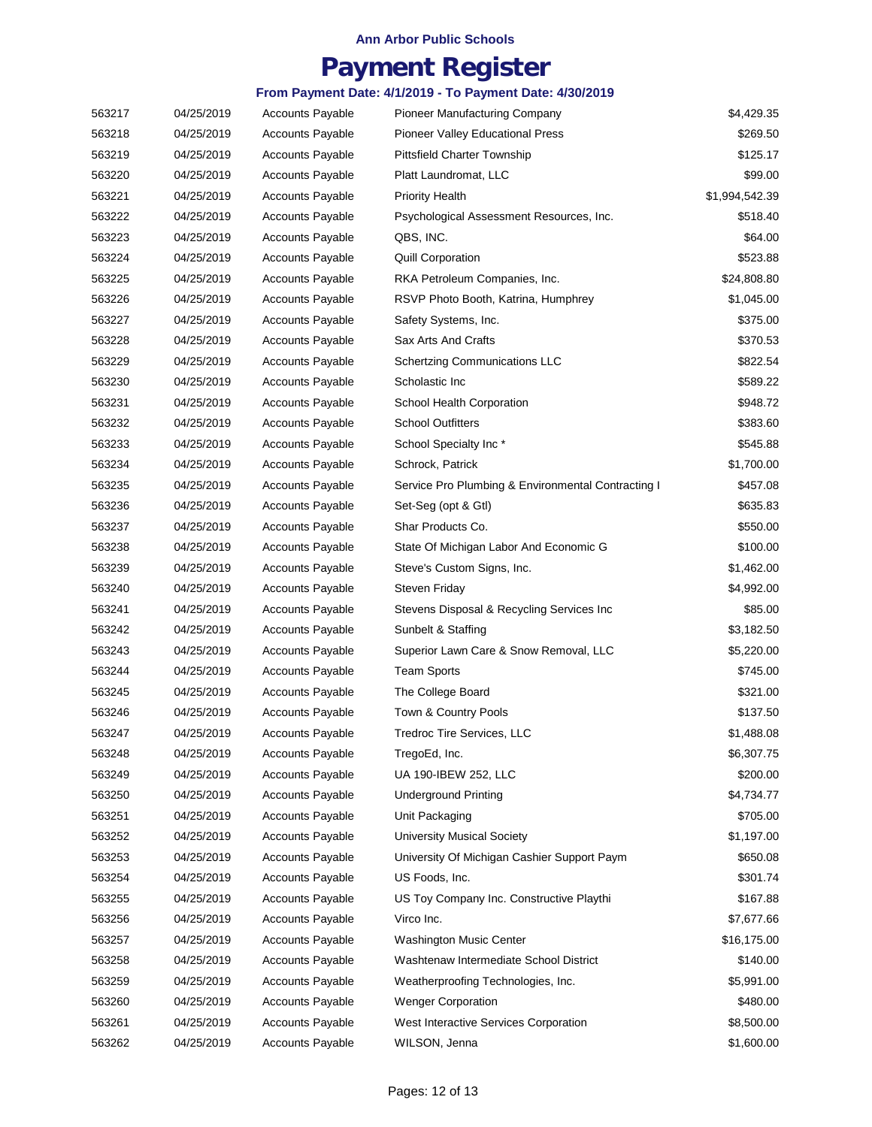## **Payment Register**

| 563217 | 04/25/2019 | <b>Accounts Payable</b> | <b>Pioneer Manufacturing Company</b>               | \$4,429.35     |
|--------|------------|-------------------------|----------------------------------------------------|----------------|
| 563218 | 04/25/2019 | <b>Accounts Payable</b> | <b>Pioneer Valley Educational Press</b>            | \$269.50       |
| 563219 | 04/25/2019 | <b>Accounts Payable</b> | <b>Pittsfield Charter Township</b>                 | \$125.17       |
| 563220 | 04/25/2019 | <b>Accounts Payable</b> | Platt Laundromat, LLC                              | \$99.00        |
| 563221 | 04/25/2019 | <b>Accounts Payable</b> | <b>Priority Health</b>                             | \$1,994,542.39 |
| 563222 | 04/25/2019 | <b>Accounts Payable</b> | Psychological Assessment Resources, Inc.           | \$518.40       |
| 563223 | 04/25/2019 | <b>Accounts Payable</b> | QBS, INC.                                          | \$64.00        |
| 563224 | 04/25/2019 | <b>Accounts Payable</b> | <b>Quill Corporation</b>                           | \$523.88       |
| 563225 | 04/25/2019 | <b>Accounts Payable</b> | RKA Petroleum Companies, Inc.                      | \$24,808.80    |
| 563226 | 04/25/2019 | <b>Accounts Payable</b> | RSVP Photo Booth, Katrina, Humphrey                | \$1,045.00     |
| 563227 | 04/25/2019 | <b>Accounts Payable</b> | Safety Systems, Inc.                               | \$375.00       |
| 563228 | 04/25/2019 | <b>Accounts Payable</b> | Sax Arts And Crafts                                | \$370.53       |
| 563229 | 04/25/2019 | <b>Accounts Payable</b> | <b>Schertzing Communications LLC</b>               | \$822.54       |
| 563230 | 04/25/2019 | <b>Accounts Payable</b> | Scholastic Inc                                     | \$589.22       |
| 563231 | 04/25/2019 | <b>Accounts Payable</b> | School Health Corporation                          | \$948.72       |
| 563232 | 04/25/2019 | <b>Accounts Payable</b> | <b>School Outfitters</b>                           | \$383.60       |
| 563233 | 04/25/2019 | <b>Accounts Payable</b> | School Specialty Inc*                              | \$545.88       |
| 563234 | 04/25/2019 | <b>Accounts Payable</b> | Schrock, Patrick                                   | \$1,700.00     |
| 563235 | 04/25/2019 | <b>Accounts Payable</b> | Service Pro Plumbing & Environmental Contracting I | \$457.08       |
| 563236 | 04/25/2019 | <b>Accounts Payable</b> | Set-Seg (opt & Gtl)                                | \$635.83       |
| 563237 | 04/25/2019 | <b>Accounts Payable</b> | Shar Products Co.                                  | \$550.00       |
| 563238 | 04/25/2019 | <b>Accounts Payable</b> | State Of Michigan Labor And Economic G             | \$100.00       |
| 563239 | 04/25/2019 | <b>Accounts Payable</b> | Steve's Custom Signs, Inc.                         | \$1,462.00     |
| 563240 | 04/25/2019 | <b>Accounts Payable</b> | Steven Friday                                      | \$4,992.00     |
| 563241 | 04/25/2019 | <b>Accounts Payable</b> | Stevens Disposal & Recycling Services Inc          | \$85.00        |
| 563242 | 04/25/2019 | <b>Accounts Payable</b> | Sunbelt & Staffing                                 | \$3,182.50     |
| 563243 | 04/25/2019 | <b>Accounts Payable</b> | Superior Lawn Care & Snow Removal, LLC             | \$5,220.00     |
| 563244 | 04/25/2019 | <b>Accounts Payable</b> | <b>Team Sports</b>                                 | \$745.00       |
| 563245 | 04/25/2019 | <b>Accounts Payable</b> | The College Board                                  | \$321.00       |
| 563246 | 04/25/2019 | <b>Accounts Payable</b> | Town & Country Pools                               | \$137.50       |
| 563247 | 04/25/2019 | <b>Accounts Payable</b> | Tredroc Tire Services, LLC                         | \$1,488.08     |
| 563248 | 04/25/2019 | <b>Accounts Payable</b> | TregoEd, Inc.                                      | \$6,307.75     |
| 563249 | 04/25/2019 | <b>Accounts Payable</b> | UA 190-IBEW 252, LLC                               | \$200.00       |
| 563250 | 04/25/2019 | <b>Accounts Payable</b> | Underground Printing                               | \$4,734.77     |
| 563251 | 04/25/2019 | <b>Accounts Payable</b> | Unit Packaging                                     | \$705.00       |
| 563252 | 04/25/2019 | <b>Accounts Payable</b> | <b>University Musical Society</b>                  | \$1,197.00     |
| 563253 | 04/25/2019 | <b>Accounts Payable</b> | University Of Michigan Cashier Support Paym        | \$650.08       |
| 563254 | 04/25/2019 | <b>Accounts Payable</b> | US Foods, Inc.                                     | \$301.74       |
| 563255 | 04/25/2019 | <b>Accounts Payable</b> | US Toy Company Inc. Constructive Playthi           | \$167.88       |
| 563256 | 04/25/2019 | <b>Accounts Payable</b> | Virco Inc.                                         | \$7,677.66     |
| 563257 | 04/25/2019 | <b>Accounts Payable</b> | <b>Washington Music Center</b>                     | \$16,175.00    |
| 563258 | 04/25/2019 | <b>Accounts Payable</b> | Washtenaw Intermediate School District             | \$140.00       |
| 563259 | 04/25/2019 | <b>Accounts Payable</b> | Weatherproofing Technologies, Inc.                 | \$5,991.00     |
| 563260 | 04/25/2019 | <b>Accounts Payable</b> | <b>Wenger Corporation</b>                          | \$480.00       |
| 563261 | 04/25/2019 | <b>Accounts Payable</b> | West Interactive Services Corporation              | \$8,500.00     |
| 563262 | 04/25/2019 | <b>Accounts Payable</b> | WILSON, Jenna                                      | \$1,600.00     |